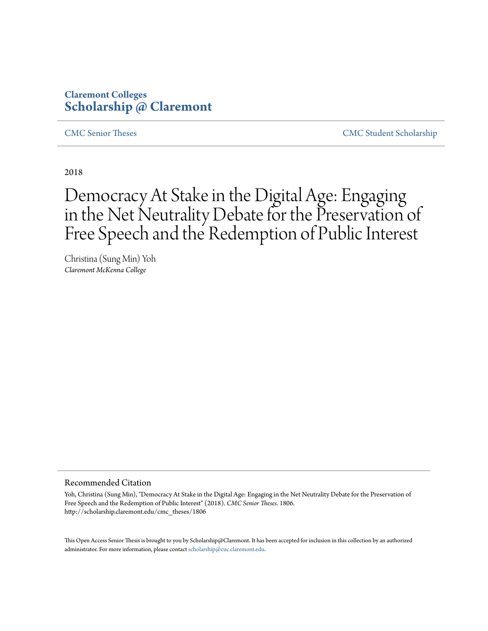# **Claremont Colleges [Scholarship @ Claremont](http://scholarship.claremont.edu)**

[CMC Senior Theses](http://scholarship.claremont.edu/cmc_theses) [CMC Student Scholarship](http://scholarship.claremont.edu/cmc_student)

2018

# Democracy At Stake in the Digital Age: Engaging in the Net Neutrality Debate for the Preservation of Free Speech and the Redemption of Public Interest

Christina (Sung Min) Yoh *Claremont McKenna College*

#### Recommended Citation

Yoh, Christina (Sung Min), "Democracy At Stake in the Digital Age: Engaging in the Net Neutrality Debate for the Preservation of Free Speech and the Redemption of Public Interest" (2018). *CMC Senior Theses*. 1806. http://scholarship.claremont.edu/cmc\_theses/1806

This Open Access Senior Thesis is brought to you by Scholarship@Claremont. It has been accepted for inclusion in this collection by an authorized administrator. For more information, please contact [scholarship@cuc.claremont.edu.](mailto:scholarship@cuc.claremont.edu)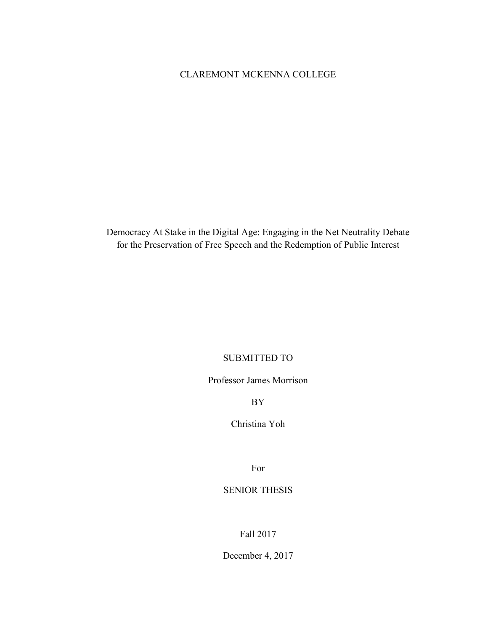# CLAREMONT MCKENNA COLLEGE

Democracy At Stake in the Digital Age: Engaging in the Net Neutrality Debate for the Preservation of Free Speech and the Redemption of Public Interest

### SUBMITTED TO

Professor James Morrison

BY

Christina Yoh

For

# SENIOR THESIS

Fall 2017

December 4, 2017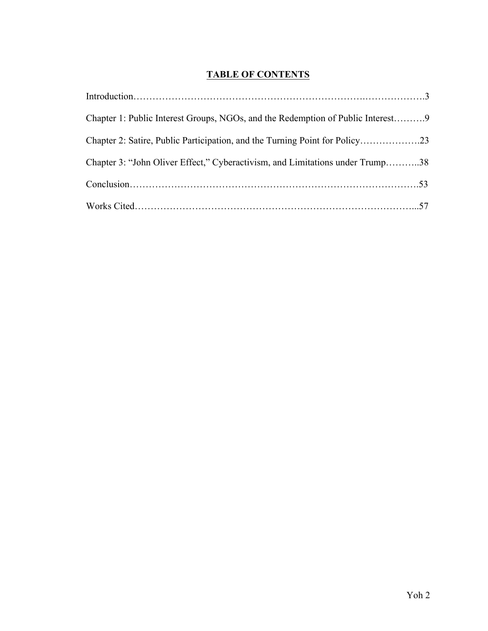# **TABLE OF CONTENTS**

| Chapter 1: Public Interest Groups, NGOs, and the Redemption of Public Interest9 |  |
|---------------------------------------------------------------------------------|--|
|                                                                                 |  |
| Chapter 3: "John Oliver Effect," Cyberactivism, and Limitations under Trump38   |  |
|                                                                                 |  |
|                                                                                 |  |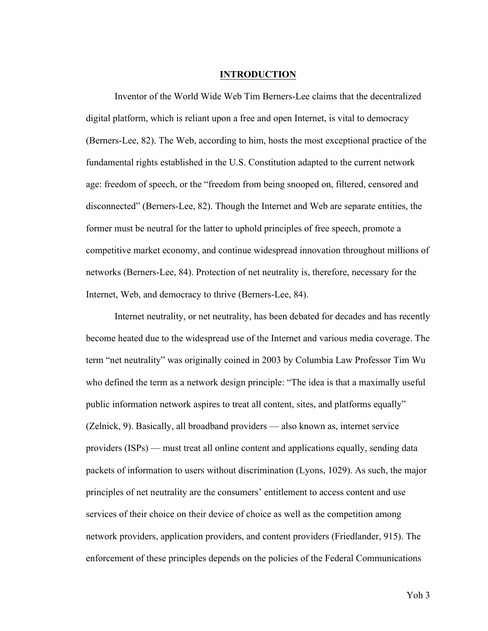#### **INTRODUCTION**

Inventor of the World Wide Web Tim Berners-Lee claims that the decentralized digital platform, which is reliant upon a free and open Internet, is vital to democracy (Berners-Lee, 82). The Web, according to him, hosts the most exceptional practice of the fundamental rights established in the U.S. Constitution adapted to the current network age: freedom of speech, or the "freedom from being snooped on, filtered, censored and disconnected" (Berners-Lee, 82). Though the Internet and Web are separate entities, the former must be neutral for the latter to uphold principles of free speech, promote a competitive market economy, and continue widespread innovation throughout millions of networks (Berners-Lee, 84). Protection of net neutrality is, therefore, necessary for the Internet, Web, and democracy to thrive (Berners-Lee, 84).

Internet neutrality, or net neutrality, has been debated for decades and has recently become heated due to the widespread use of the Internet and various media coverage. The term "net neutrality" was originally coined in 2003 by Columbia Law Professor Tim Wu who defined the term as a network design principle: "The idea is that a maximally useful public information network aspires to treat all content, sites, and platforms equally" (Zelnick, 9). Basically, all broadband providers — also known as, internet service providers (ISPs) — must treat all online content and applications equally, sending data packets of information to users without discrimination (Lyons, 1029). As such, the major principles of net neutrality are the consumers' entitlement to access content and use services of their choice on their device of choice as well as the competition among network providers, application providers, and content providers (Friedlander, 915). The enforcement of these principles depends on the policies of the Federal Communications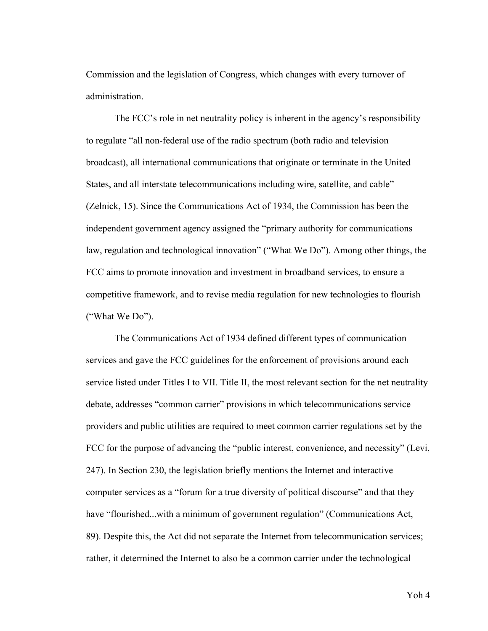Commission and the legislation of Congress, which changes with every turnover of administration.

The FCC's role in net neutrality policy is inherent in the agency's responsibility to regulate "all non-federal use of the radio spectrum (both radio and television broadcast), all international communications that originate or terminate in the United States, and all interstate telecommunications including wire, satellite, and cable" (Zelnick, 15). Since the Communications Act of 1934, the Commission has been the independent government agency assigned the "primary authority for communications law, regulation and technological innovation" ("What We Do"). Among other things, the FCC aims to promote innovation and investment in broadband services, to ensure a competitive framework, and to revise media regulation for new technologies to flourish ("What We Do").

The Communications Act of 1934 defined different types of communication services and gave the FCC guidelines for the enforcement of provisions around each service listed under Titles I to VII. Title II, the most relevant section for the net neutrality debate, addresses "common carrier" provisions in which telecommunications service providers and public utilities are required to meet common carrier regulations set by the FCC for the purpose of advancing the "public interest, convenience, and necessity" (Levi, 247). In Section 230, the legislation briefly mentions the Internet and interactive computer services as a "forum for a true diversity of political discourse" and that they have "flourished...with a minimum of government regulation" (Communications Act, 89). Despite this, the Act did not separate the Internet from telecommunication services; rather, it determined the Internet to also be a common carrier under the technological

Yoh 4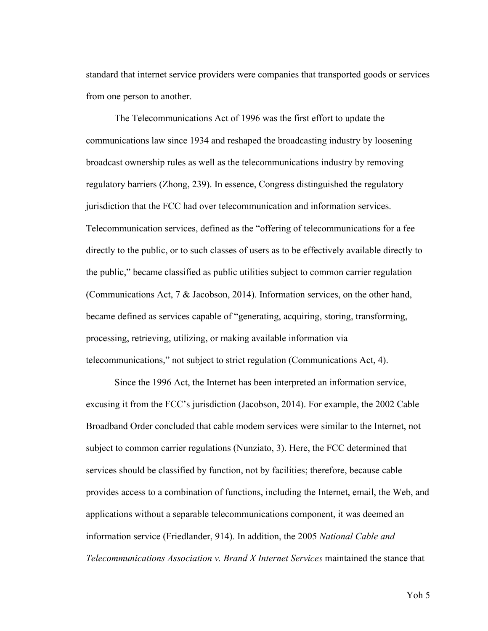standard that internet service providers were companies that transported goods or services from one person to another.

The Telecommunications Act of 1996 was the first effort to update the communications law since 1934 and reshaped the broadcasting industry by loosening broadcast ownership rules as well as the telecommunications industry by removing regulatory barriers (Zhong, 239). In essence, Congress distinguished the regulatory jurisdiction that the FCC had over telecommunication and information services. Telecommunication services, defined as the "offering of telecommunications for a fee directly to the public, or to such classes of users as to be effectively available directly to the public," became classified as public utilities subject to common carrier regulation (Communications Act, 7 & Jacobson, 2014). Information services, on the other hand, became defined as services capable of "generating, acquiring, storing, transforming, processing, retrieving, utilizing, or making available information via telecommunications," not subject to strict regulation (Communications Act, 4).

Since the 1996 Act, the Internet has been interpreted an information service, excusing it from the FCC's jurisdiction (Jacobson, 2014). For example, the 2002 Cable Broadband Order concluded that cable modem services were similar to the Internet, not subject to common carrier regulations (Nunziato, 3). Here, the FCC determined that services should be classified by function, not by facilities; therefore, because cable provides access to a combination of functions, including the Internet, email, the Web, and applications without a separable telecommunications component, it was deemed an information service (Friedlander, 914). In addition, the 2005 *National Cable and Telecommunications Association v. Brand X Internet Services* maintained the stance that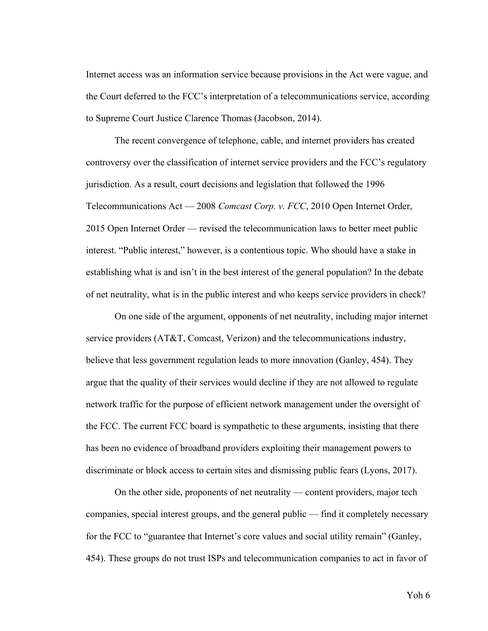Internet access was an information service because provisions in the Act were vague, and the Court deferred to the FCC's interpretation of a telecommunications service, according to Supreme Court Justice Clarence Thomas (Jacobson, 2014).

The recent convergence of telephone, cable, and internet providers has created controversy over the classification of internet service providers and the FCC's regulatory jurisdiction. As a result, court decisions and legislation that followed the 1996 Telecommunications Act — 2008 *Comcast Corp. v. FCC*, 2010 Open Internet Order, 2015 Open Internet Order — revised the telecommunication laws to better meet public interest. "Public interest," however, is a contentious topic. Who should have a stake in establishing what is and isn't in the best interest of the general population? In the debate of net neutrality, what is in the public interest and who keeps service providers in check?

On one side of the argument, opponents of net neutrality, including major internet service providers (AT&T, Comcast, Verizon) and the telecommunications industry, believe that less government regulation leads to more innovation (Ganley, 454). They argue that the quality of their services would decline if they are not allowed to regulate network traffic for the purpose of efficient network management under the oversight of the FCC. The current FCC board is sympathetic to these arguments, insisting that there has been no evidence of broadband providers exploiting their management powers to discriminate or block access to certain sites and dismissing public fears (Lyons, 2017).

On the other side, proponents of net neutrality — content providers, major tech companies, special interest groups, and the general public — find it completely necessary for the FCC to "guarantee that Internet's core values and social utility remain" (Ganley, 454). These groups do not trust ISPs and telecommunication companies to act in favor of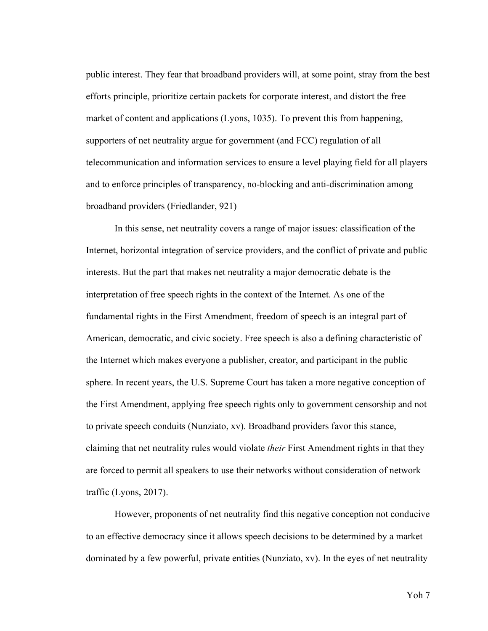public interest. They fear that broadband providers will, at some point, stray from the best efforts principle, prioritize certain packets for corporate interest, and distort the free market of content and applications (Lyons, 1035). To prevent this from happening, supporters of net neutrality argue for government (and FCC) regulation of all telecommunication and information services to ensure a level playing field for all players and to enforce principles of transparency, no-blocking and anti-discrimination among broadband providers (Friedlander, 921)

In this sense, net neutrality covers a range of major issues: classification of the Internet, horizontal integration of service providers, and the conflict of private and public interests. But the part that makes net neutrality a major democratic debate is the interpretation of free speech rights in the context of the Internet. As one of the fundamental rights in the First Amendment, freedom of speech is an integral part of American, democratic, and civic society. Free speech is also a defining characteristic of the Internet which makes everyone a publisher, creator, and participant in the public sphere. In recent years, the U.S. Supreme Court has taken a more negative conception of the First Amendment, applying free speech rights only to government censorship and not to private speech conduits (Nunziato, xv). Broadband providers favor this stance, claiming that net neutrality rules would violate *their* First Amendment rights in that they are forced to permit all speakers to use their networks without consideration of network traffic (Lyons, 2017).

However, proponents of net neutrality find this negative conception not conducive to an effective democracy since it allows speech decisions to be determined by a market dominated by a few powerful, private entities (Nunziato, xv). In the eyes of net neutrality

Yoh 7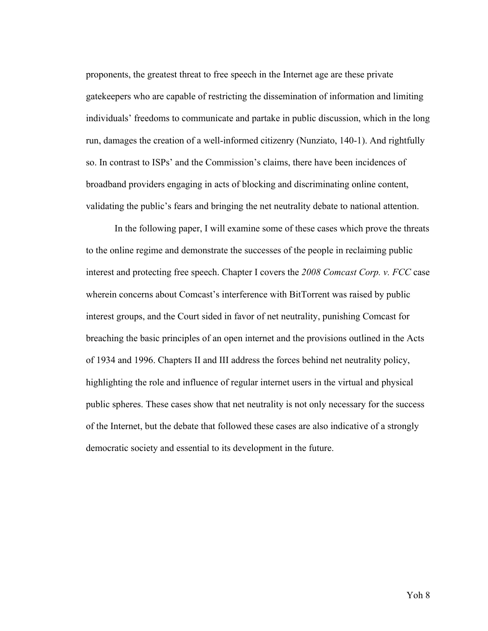proponents, the greatest threat to free speech in the Internet age are these private gatekeepers who are capable of restricting the dissemination of information and limiting individuals' freedoms to communicate and partake in public discussion, which in the long run, damages the creation of a well-informed citizenry (Nunziato, 140-1). And rightfully so. In contrast to ISPs' and the Commission's claims, there have been incidences of broadband providers engaging in acts of blocking and discriminating online content, validating the public's fears and bringing the net neutrality debate to national attention.

In the following paper, I will examine some of these cases which prove the threats to the online regime and demonstrate the successes of the people in reclaiming public interest and protecting free speech. Chapter I covers the *2008 Comcast Corp. v. FCC* case wherein concerns about Comcast's interference with BitTorrent was raised by public interest groups, and the Court sided in favor of net neutrality, punishing Comcast for breaching the basic principles of an open internet and the provisions outlined in the Acts of 1934 and 1996. Chapters II and III address the forces behind net neutrality policy, highlighting the role and influence of regular internet users in the virtual and physical public spheres. These cases show that net neutrality is not only necessary for the success of the Internet, but the debate that followed these cases are also indicative of a strongly democratic society and essential to its development in the future.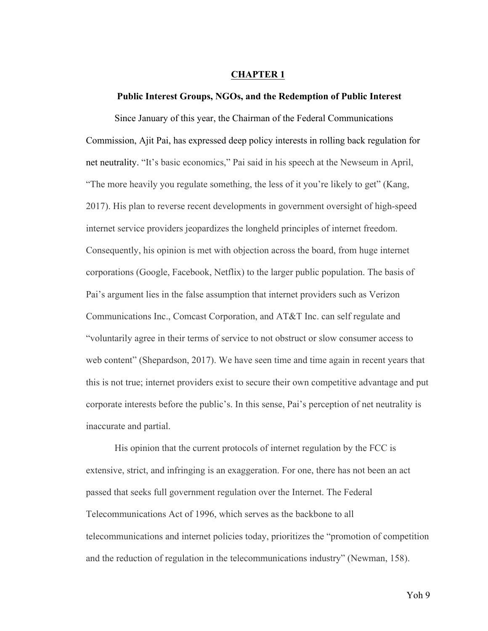#### **CHAPTER 1**

#### **Public Interest Groups, NGOs, and the Redemption of Public Interest**

Since January of this year, the Chairman of the Federal Communications Commission, Ajit Pai, has expressed deep policy interests in rolling back regulation for net neutrality. "It's basic economics," Pai said in his speech at the Newseum in April, "The more heavily you regulate something, the less of it you're likely to get" (Kang, 2017). His plan to reverse recent developments in government oversight of high-speed internet service providers jeopardizes the longheld principles of internet freedom. Consequently, his opinion is met with objection across the board, from huge internet corporations (Google, Facebook, Netflix) to the larger public population. The basis of Pai's argument lies in the false assumption that internet providers such as Verizon Communications Inc., Comcast Corporation, and AT&T Inc. can self regulate and "voluntarily agree in their terms of service to not obstruct or slow consumer access to web content" (Shepardson, 2017). We have seen time and time again in recent years that this is not true; internet providers exist to secure their own competitive advantage and put corporate interests before the public's. In this sense, Pai's perception of net neutrality is inaccurate and partial.

His opinion that the current protocols of internet regulation by the FCC is extensive, strict, and infringing is an exaggeration. For one, there has not been an act passed that seeks full government regulation over the Internet. The Federal Telecommunications Act of 1996, which serves as the backbone to all telecommunications and internet policies today, prioritizes the "promotion of competition and the reduction of regulation in the telecommunications industry" (Newman, 158).

Yoh 9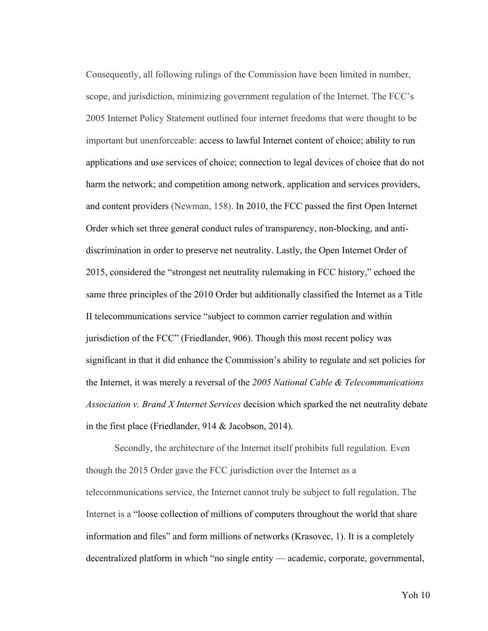Consequently, all following rulings of the Commission have been limited in number, scope, and jurisdiction, minimizing government regulation of the Internet. The FCC's 2005 Internet Policy Statement outlined four internet freedoms that were thought to be important but unenforceable: access to lawful Internet content of choice; ability to run applications and use services of choice; connection to legal devices of choice that do not harm the network; and competition among network, application and services providers, and content providers (Newman, 158). In 2010, the FCC passed the first Open Internet Order which set three general conduct rules of transparency, non-blocking, and antidiscrimination in order to preserve net neutrality. Lastly, the Open Internet Order of 2015, considered the "strongest net neutrality rulemaking in FCC history," echoed the same three principles of the 2010 Order but additionally classified the Internet as a Title II telecommunications service "subject to common carrier regulation and within jurisdiction of the FCC" (Friedlander, 906). Though this most recent policy was significant in that it did enhance the Commission's ability to regulate and set policies for the Internet, it was merely a reversal of the *2005 National Cable & Telecommunications Association v. Brand X Internet Services* decision which sparked the net neutrality debate in the first place (Friedlander, 914 & Jacobson, 2014).

Secondly, the architecture of the Internet itself prohibits full regulation. Even though the 2015 Order gave the FCC jurisdiction over the Internet as a telecommunications service, the Internet cannot truly be subject to full regulation. The Internet is a "loose collection of millions of computers throughout the world that share information and files" and form millions of networks (Krasovec, 1). It is a completely decentralized platform in which "no single entity — academic, corporate, governmental,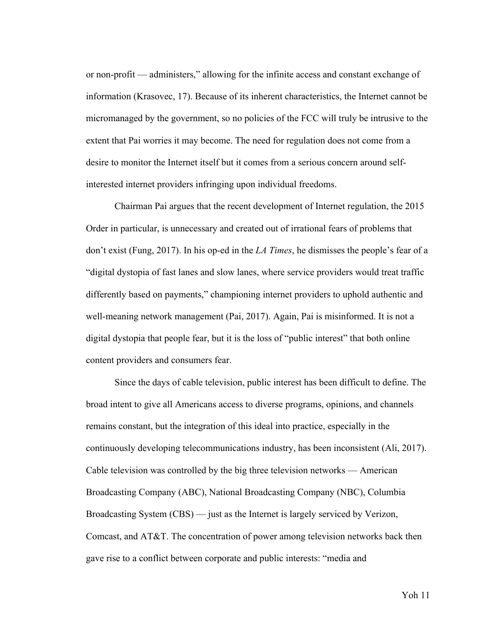or non-profit — administers," allowing for the infinite access and constant exchange of information (Krasovec, 17). Because of its inherent characteristics, the Internet cannot be micromanaged by the government, so no policies of the FCC will truly be intrusive to the extent that Pai worries it may become. The need for regulation does not come from a desire to monitor the Internet itself but it comes from a serious concern around selfinterested internet providers infringing upon individual freedoms.

Chairman Pai argues that the recent development of Internet regulation, the 2015 Order in particular, is unnecessary and created out of irrational fears of problems that don't exist (Fung, 2017). In his op-ed in the *LA Times*, he dismisses the people's fear of a "digital dystopia of fast lanes and slow lanes, where service providers would treat traffic differently based on payments," championing internet providers to uphold authentic and well-meaning network management (Pai, 2017). Again, Pai is misinformed. It is not a digital dystopia that people fear, but it is the loss of "public interest" that both online content providers and consumers fear.

Since the days of cable television, public interest has been difficult to define. The broad intent to give all Americans access to diverse programs, opinions, and channels remains constant, but the integration of this ideal into practice, especially in the continuously developing telecommunications industry, has been inconsistent (Ali, 2017). Cable television was controlled by the big three television networks — American Broadcasting Company (ABC), National Broadcasting Company (NBC), Columbia Broadcasting System (CBS) — just as the Internet is largely serviced by Verizon, Comcast, and AT&T. The concentration of power among television networks back then gave rise to a conflict between corporate and public interests: "media and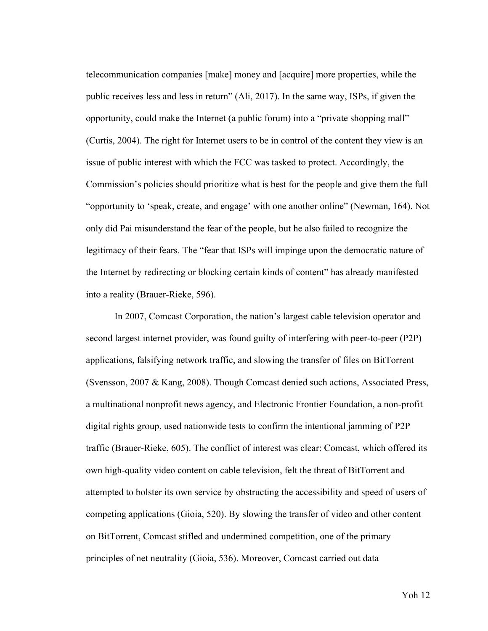telecommunication companies [make] money and [acquire] more properties, while the public receives less and less in return" (Ali, 2017). In the same way, ISPs, if given the opportunity, could make the Internet (a public forum) into a "private shopping mall" (Curtis, 2004). The right for Internet users to be in control of the content they view is an issue of public interest with which the FCC was tasked to protect. Accordingly, the Commission's policies should prioritize what is best for the people and give them the full "opportunity to 'speak, create, and engage' with one another online" (Newman, 164). Not only did Pai misunderstand the fear of the people, but he also failed to recognize the legitimacy of their fears. The "fear that ISPs will impinge upon the democratic nature of the Internet by redirecting or blocking certain kinds of content" has already manifested into a reality (Brauer-Rieke, 596).

In 2007, Comcast Corporation, the nation's largest cable television operator and second largest internet provider, was found guilty of interfering with peer-to-peer (P2P) applications, falsifying network traffic, and slowing the transfer of files on BitTorrent (Svensson, 2007 & Kang, 2008). Though Comcast denied such actions, Associated Press, a multinational nonprofit news agency, and Electronic Frontier Foundation, a non-profit digital rights group, used nationwide tests to confirm the intentional jamming of P2P traffic (Brauer-Rieke, 605). The conflict of interest was clear: Comcast, which offered its own high-quality video content on cable television, felt the threat of BitTorrent and attempted to bolster its own service by obstructing the accessibility and speed of users of competing applications (Gioia, 520). By slowing the transfer of video and other content on BitTorrent, Comcast stifled and undermined competition, one of the primary principles of net neutrality (Gioia, 536). Moreover, Comcast carried out data

Yoh 12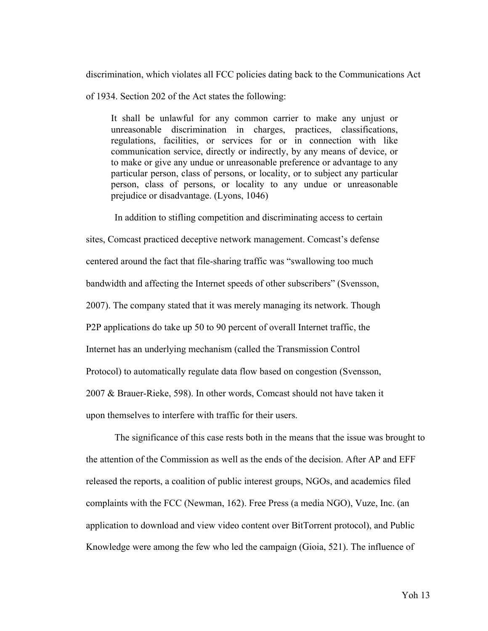discrimination, which violates all FCC policies dating back to the Communications Act

of 1934. Section 202 of the Act states the following:

It shall be unlawful for any common carrier to make any unjust or unreasonable discrimination in charges, practices, classifications, regulations, facilities, or services for or in connection with like communication service, directly or indirectly, by any means of device, or to make or give any undue or unreasonable preference or advantage to any particular person, class of persons, or locality, or to subject any particular person, class of persons, or locality to any undue or unreasonable prejudice or disadvantage. (Lyons, 1046)

In addition to stifling competition and discriminating access to certain sites, Comcast practiced deceptive network management. Comcast's defense centered around the fact that file-sharing traffic was "swallowing too much bandwidth and affecting the Internet speeds of other subscribers" (Svensson, 2007). The company stated that it was merely managing its network. Though P2P applications do take up 50 to 90 percent of overall Internet traffic, the Internet has an underlying mechanism (called the Transmission Control Protocol) to automatically regulate data flow based on congestion (Svensson, 2007 & Brauer-Rieke, 598). In other words, Comcast should not have taken it upon themselves to interfere with traffic for their users.

The significance of this case rests both in the means that the issue was brought to the attention of the Commission as well as the ends of the decision. After AP and EFF released the reports, a coalition of public interest groups, NGOs, and academics filed complaints with the FCC (Newman, 162). Free Press (a media NGO), Vuze, Inc. (an application to download and view video content over BitTorrent protocol), and Public Knowledge were among the few who led the campaign (Gioia, 521). The influence of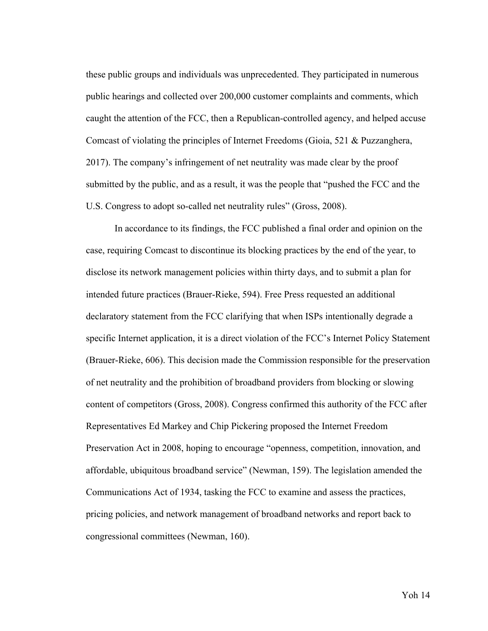these public groups and individuals was unprecedented. They participated in numerous public hearings and collected over 200,000 customer complaints and comments, which caught the attention of the FCC, then a Republican-controlled agency, and helped accuse Comcast of violating the principles of Internet Freedoms (Gioia, 521 & Puzzanghera, 2017). The company's infringement of net neutrality was made clear by the proof submitted by the public, and as a result, it was the people that "pushed the FCC and the U.S. Congress to adopt so-called net neutrality rules" (Gross, 2008).

In accordance to its findings, the FCC published a final order and opinion on the case, requiring Comcast to discontinue its blocking practices by the end of the year, to disclose its network management policies within thirty days, and to submit a plan for intended future practices (Brauer-Rieke, 594). Free Press requested an additional declaratory statement from the FCC clarifying that when ISPs intentionally degrade a specific Internet application, it is a direct violation of the FCC's Internet Policy Statement (Brauer-Rieke, 606). This decision made the Commission responsible for the preservation of net neutrality and the prohibition of broadband providers from blocking or slowing content of competitors (Gross, 2008). Congress confirmed this authority of the FCC after Representatives Ed Markey and Chip Pickering proposed the Internet Freedom Preservation Act in 2008, hoping to encourage "openness, competition, innovation, and affordable, ubiquitous broadband service" (Newman, 159). The legislation amended the Communications Act of 1934, tasking the FCC to examine and assess the practices, pricing policies, and network management of broadband networks and report back to congressional committees (Newman, 160).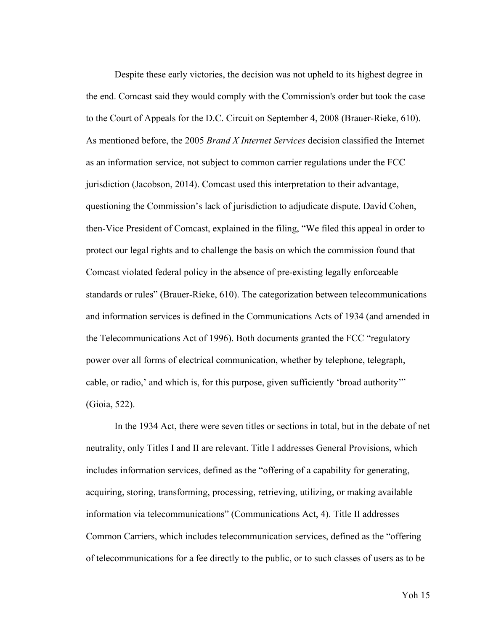Despite these early victories, the decision was not upheld to its highest degree in the end. Comcast said they would comply with the Commission's order but took the case to the Court of Appeals for the D.C. Circuit on September 4, 2008 (Brauer-Rieke, 610). As mentioned before, the 2005 *Brand X Internet Services* decision classified the Internet as an information service, not subject to common carrier regulations under the FCC jurisdiction (Jacobson, 2014). Comcast used this interpretation to their advantage, questioning the Commission's lack of jurisdiction to adjudicate dispute. David Cohen, then-Vice President of Comcast, explained in the filing, "We filed this appeal in order to protect our legal rights and to challenge the basis on which the commission found that Comcast violated federal policy in the absence of pre-existing legally enforceable standards or rules" (Brauer-Rieke, 610). The categorization between telecommunications and information services is defined in the Communications Acts of 1934 (and amended in the Telecommunications Act of 1996). Both documents granted the FCC "regulatory power over all forms of electrical communication, whether by telephone, telegraph, cable, or radio,' and which is, for this purpose, given sufficiently 'broad authority'" (Gioia, 522).

In the 1934 Act, there were seven titles or sections in total, but in the debate of net neutrality, only Titles I and II are relevant. Title I addresses General Provisions, which includes information services, defined as the "offering of a capability for generating, acquiring, storing, transforming, processing, retrieving, utilizing, or making available information via telecommunications" (Communications Act, 4). Title II addresses Common Carriers, which includes telecommunication services, defined as the "offering of telecommunications for a fee directly to the public, or to such classes of users as to be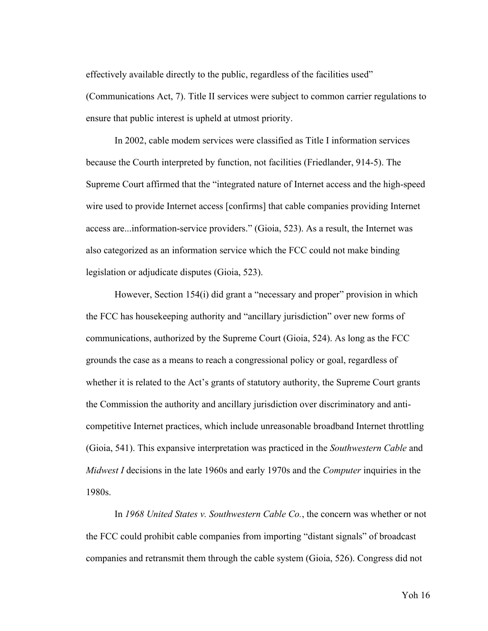effectively available directly to the public, regardless of the facilities used"

(Communications Act, 7). Title II services were subject to common carrier regulations to ensure that public interest is upheld at utmost priority.

In 2002, cable modem services were classified as Title I information services because the Courth interpreted by function, not facilities (Friedlander, 914-5). The Supreme Court affirmed that the "integrated nature of Internet access and the high-speed wire used to provide Internet access [confirms] that cable companies providing Internet access are...information-service providers." (Gioia, 523). As a result, the Internet was also categorized as an information service which the FCC could not make binding legislation or adjudicate disputes (Gioia, 523).

However, Section 154(i) did grant a "necessary and proper" provision in which the FCC has housekeeping authority and "ancillary jurisdiction" over new forms of communications, authorized by the Supreme Court (Gioia, 524). As long as the FCC grounds the case as a means to reach a congressional policy or goal, regardless of whether it is related to the Act's grants of statutory authority, the Supreme Court grants the Commission the authority and ancillary jurisdiction over discriminatory and anticompetitive Internet practices, which include unreasonable broadband Internet throttling (Gioia, 541). This expansive interpretation was practiced in the *Southwestern Cable* and *Midwest I* decisions in the late 1960s and early 1970s and the *Computer* inquiries in the 1980s.

In *1968 United States v. Southwestern Cable Co.*, the concern was whether or not the FCC could prohibit cable companies from importing "distant signals" of broadcast companies and retransmit them through the cable system (Gioia, 526). Congress did not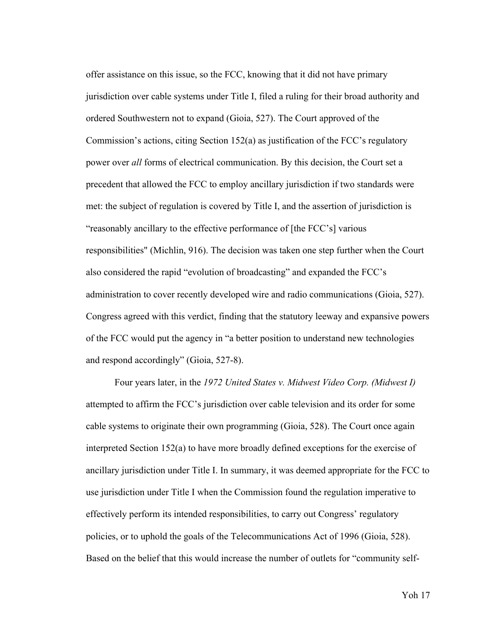offer assistance on this issue, so the FCC, knowing that it did not have primary jurisdiction over cable systems under Title I, filed a ruling for their broad authority and ordered Southwestern not to expand (Gioia, 527). The Court approved of the Commission's actions, citing Section 152(a) as justification of the FCC's regulatory power over *all* forms of electrical communication. By this decision, the Court set a precedent that allowed the FCC to employ ancillary jurisdiction if two standards were met: the subject of regulation is covered by Title I, and the assertion of jurisdiction is "reasonably ancillary to the effective performance of [the FCC's] various responsibilities" (Michlin, 916). The decision was taken one step further when the Court also considered the rapid "evolution of broadcasting" and expanded the FCC's administration to cover recently developed wire and radio communications (Gioia, 527). Congress agreed with this verdict, finding that the statutory leeway and expansive powers of the FCC would put the agency in "a better position to understand new technologies and respond accordingly" (Gioia, 527-8).

Four years later, in the *1972 United States v. Midwest Video Corp. (Midwest I)*  attempted to affirm the FCC's jurisdiction over cable television and its order for some cable systems to originate their own programming (Gioia, 528). The Court once again interpreted Section 152(a) to have more broadly defined exceptions for the exercise of ancillary jurisdiction under Title I. In summary, it was deemed appropriate for the FCC to use jurisdiction under Title I when the Commission found the regulation imperative to effectively perform its intended responsibilities, to carry out Congress' regulatory policies, or to uphold the goals of the Telecommunications Act of 1996 (Gioia, 528). Based on the belief that this would increase the number of outlets for "community self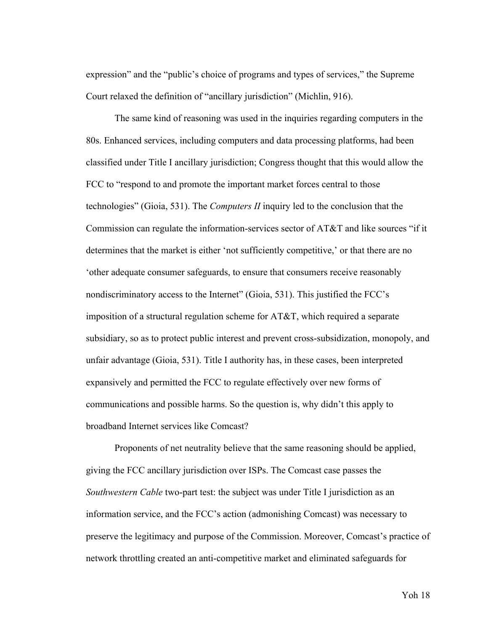expression" and the "public's choice of programs and types of services," the Supreme Court relaxed the definition of "ancillary jurisdiction" (Michlin, 916).

The same kind of reasoning was used in the inquiries regarding computers in the 80s. Enhanced services, including computers and data processing platforms, had been classified under Title I ancillary jurisdiction; Congress thought that this would allow the FCC to "respond to and promote the important market forces central to those technologies" (Gioia, 531). The *Computers II* inquiry led to the conclusion that the Commission can regulate the information-services sector of AT&T and like sources "if it determines that the market is either 'not sufficiently competitive,' or that there are no 'other adequate consumer safeguards, to ensure that consumers receive reasonably nondiscriminatory access to the Internet" (Gioia, 531). This justified the FCC's imposition of a structural regulation scheme for AT&T, which required a separate subsidiary, so as to protect public interest and prevent cross-subsidization, monopoly, and unfair advantage (Gioia, 531). Title I authority has, in these cases, been interpreted expansively and permitted the FCC to regulate effectively over new forms of communications and possible harms. So the question is, why didn't this apply to broadband Internet services like Comcast?

Proponents of net neutrality believe that the same reasoning should be applied, giving the FCC ancillary jurisdiction over ISPs. The Comcast case passes the *Southwestern Cable* two-part test: the subject was under Title I jurisdiction as an information service, and the FCC's action (admonishing Comcast) was necessary to preserve the legitimacy and purpose of the Commission. Moreover, Comcast's practice of network throttling created an anti-competitive market and eliminated safeguards for

Yoh 18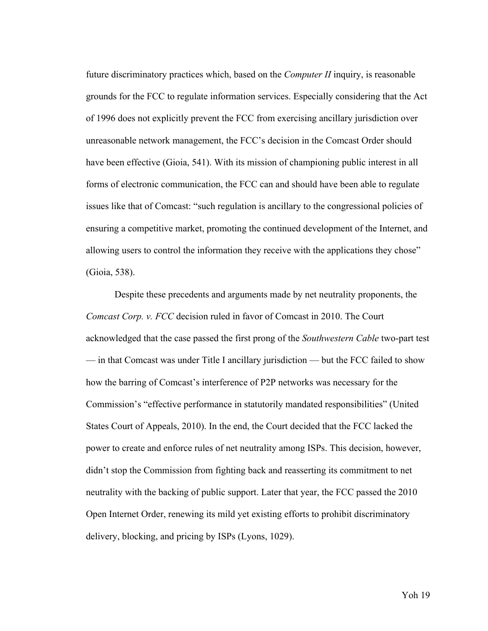future discriminatory practices which, based on the *Computer II* inquiry, is reasonable grounds for the FCC to regulate information services. Especially considering that the Act of 1996 does not explicitly prevent the FCC from exercising ancillary jurisdiction over unreasonable network management, the FCC's decision in the Comcast Order should have been effective (Gioia, 541). With its mission of championing public interest in all forms of electronic communication, the FCC can and should have been able to regulate issues like that of Comcast: "such regulation is ancillary to the congressional policies of ensuring a competitive market, promoting the continued development of the Internet, and allowing users to control the information they receive with the applications they chose" (Gioia, 538).

Despite these precedents and arguments made by net neutrality proponents, the *Comcast Corp. v. FCC* decision ruled in favor of Comcast in 2010. The Court acknowledged that the case passed the first prong of the *Southwestern Cable* two-part test — in that Comcast was under Title I ancillary jurisdiction — but the FCC failed to show how the barring of Comcast's interference of P2P networks was necessary for the Commission's "effective performance in statutorily mandated responsibilities" (United States Court of Appeals, 2010). In the end, the Court decided that the FCC lacked the power to create and enforce rules of net neutrality among ISPs. This decision, however, didn't stop the Commission from fighting back and reasserting its commitment to net neutrality with the backing of public support. Later that year, the FCC passed the 2010 Open Internet Order, renewing its mild yet existing efforts to prohibit discriminatory delivery, blocking, and pricing by ISPs (Lyons, 1029).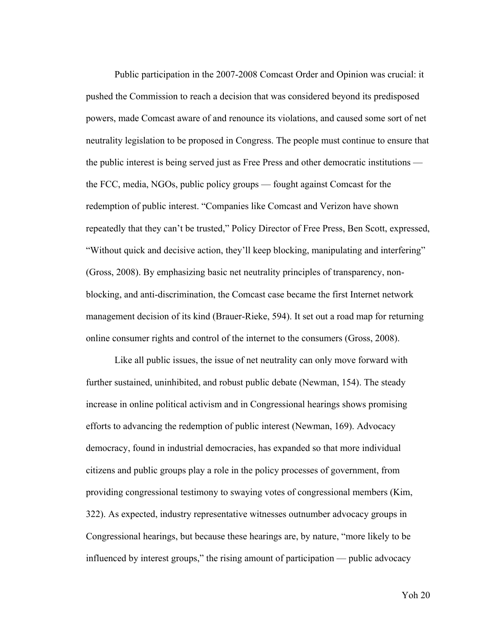Public participation in the 2007-2008 Comcast Order and Opinion was crucial: it pushed the Commission to reach a decision that was considered beyond its predisposed powers, made Comcast aware of and renounce its violations, and caused some sort of net neutrality legislation to be proposed in Congress. The people must continue to ensure that the public interest is being served just as Free Press and other democratic institutions the FCC, media, NGOs, public policy groups — fought against Comcast for the redemption of public interest. "Companies like Comcast and Verizon have shown repeatedly that they can't be trusted," Policy Director of Free Press, Ben Scott, expressed, "Without quick and decisive action, they'll keep blocking, manipulating and interfering" (Gross, 2008). By emphasizing basic net neutrality principles of transparency, nonblocking, and anti-discrimination, the Comcast case became the first Internet network management decision of its kind (Brauer-Rieke, 594). It set out a road map for returning online consumer rights and control of the internet to the consumers (Gross, 2008).

Like all public issues, the issue of net neutrality can only move forward with further sustained, uninhibited, and robust public debate (Newman, 154). The steady increase in online political activism and in Congressional hearings shows promising efforts to advancing the redemption of public interest (Newman, 169). Advocacy democracy, found in industrial democracies, has expanded so that more individual citizens and public groups play a role in the policy processes of government, from providing congressional testimony to swaying votes of congressional members (Kim, 322). As expected, industry representative witnesses outnumber advocacy groups in Congressional hearings, but because these hearings are, by nature, "more likely to be influenced by interest groups," the rising amount of participation — public advocacy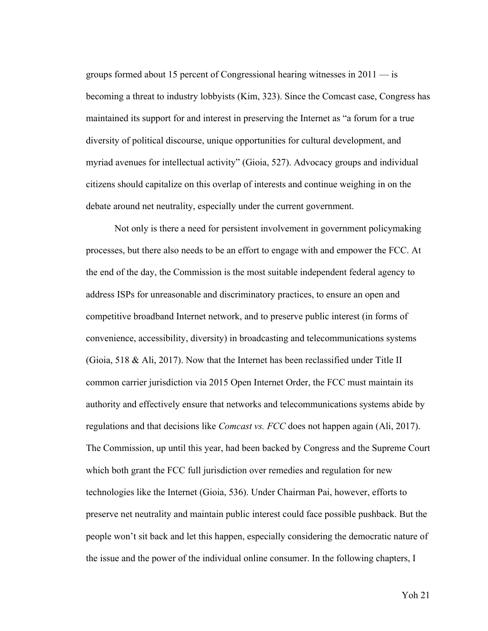groups formed about 15 percent of Congressional hearing witnesses in 2011 — is becoming a threat to industry lobbyists (Kim, 323). Since the Comcast case, Congress has maintained its support for and interest in preserving the Internet as "a forum for a true diversity of political discourse, unique opportunities for cultural development, and myriad avenues for intellectual activity" (Gioia, 527). Advocacy groups and individual citizens should capitalize on this overlap of interests and continue weighing in on the debate around net neutrality, especially under the current government.

Not only is there a need for persistent involvement in government policymaking processes, but there also needs to be an effort to engage with and empower the FCC. At the end of the day, the Commission is the most suitable independent federal agency to address ISPs for unreasonable and discriminatory practices, to ensure an open and competitive broadband Internet network, and to preserve public interest (in forms of convenience, accessibility, diversity) in broadcasting and telecommunications systems (Gioia, 518 & Ali, 2017). Now that the Internet has been reclassified under Title II common carrier jurisdiction via 2015 Open Internet Order, the FCC must maintain its authority and effectively ensure that networks and telecommunications systems abide by regulations and that decisions like *Comcast vs. FCC* does not happen again (Ali, 2017). The Commission, up until this year, had been backed by Congress and the Supreme Court which both grant the FCC full jurisdiction over remedies and regulation for new technologies like the Internet (Gioia, 536). Under Chairman Pai, however, efforts to preserve net neutrality and maintain public interest could face possible pushback. But the people won't sit back and let this happen, especially considering the democratic nature of the issue and the power of the individual online consumer. In the following chapters, I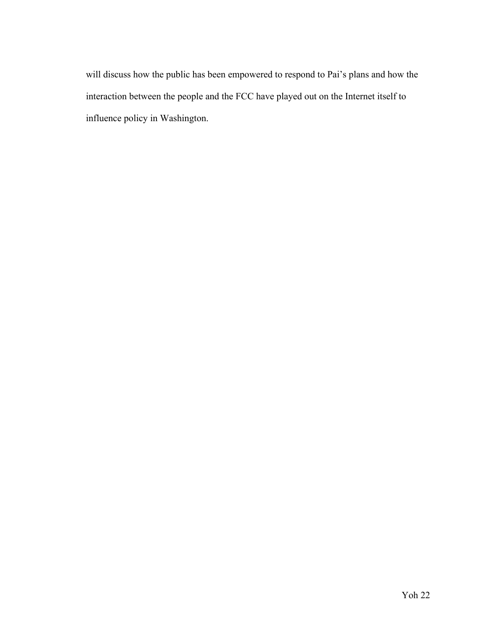will discuss how the public has been empowered to respond to Pai's plans and how the interaction between the people and the FCC have played out on the Internet itself to influence policy in Washington.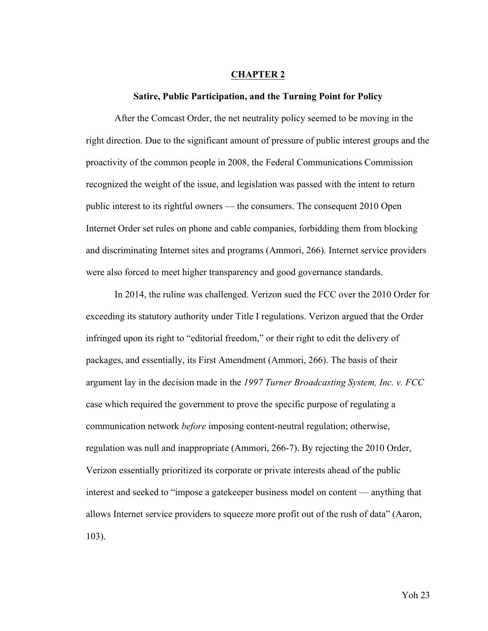#### **CHAPTER 2**

#### **Satire, Public Participation, and the Turning Point for Policy**

After the Comcast Order, the net neutrality policy seemed to be moving in the right direction. Due to the significant amount of pressure of public interest groups and the proactivity of the common people in 2008, the Federal Communications Commission recognized the weight of the issue, and legislation was passed with the intent to return public interest to its rightful owners — the consumers. The consequent 2010 Open Internet Order set rules on phone and cable companies, forbidding them from blocking and discriminating Internet sites and programs (Ammori, 266). Internet service providers were also forced to meet higher transparency and good governance standards.

In 2014, the ruline was challenged. Verizon sued the FCC over the 2010 Order for exceeding its statutory authority under Title I regulations. Verizon argued that the Order infringed upon its right to "editorial freedom," or their right to edit the delivery of packages, and essentially, its First Amendment (Ammori, 266). The basis of their argument lay in the decision made in the *1997 Turner Broadcasting System, Inc. v. FCC* case which required the government to prove the specific purpose of regulating a communication network *before* imposing content-neutral regulation; otherwise, regulation was null and inappropriate (Ammori, 266-7). By rejecting the 2010 Order, Verizon essentially prioritized its corporate or private interests ahead of the public interest and seeked to "impose a gatekeeper business model on content — anything that allows Internet service providers to squeeze more profit out of the rush of data" (Aaron, 103).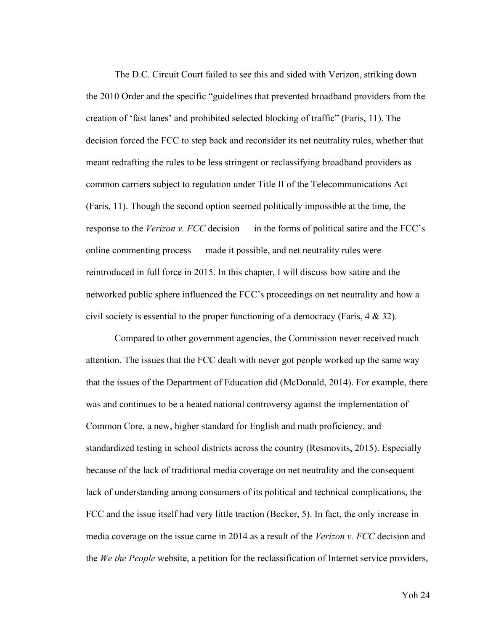The D.C. Circuit Court failed to see this and sided with Verizon, striking down the 2010 Order and the specific "guidelines that prevented broadband providers from the creation of 'fast lanes' and prohibited selected blocking of traffic" (Faris, 11). The decision forced the FCC to step back and reconsider its net neutrality rules, whether that meant redrafting the rules to be less stringent or reclassifying broadband providers as common carriers subject to regulation under Title II of the Telecommunications Act (Faris, 11). Though the second option seemed politically impossible at the time, the response to the *Verizon v. FCC* decision — in the forms of political satire and the FCC's online commenting process — made it possible, and net neutrality rules were reintroduced in full force in 2015. In this chapter, I will discuss how satire and the networked public sphere influenced the FCC's proceedings on net neutrality and how a civil society is essential to the proper functioning of a democracy (Faris, 4 & 32).

Compared to other government agencies, the Commission never received much attention. The issues that the FCC dealt with never got people worked up the same way that the issues of the Department of Education did (McDonald, 2014). For example, there was and continues to be a heated national controversy against the implementation of Common Core, a new, higher standard for English and math proficiency, and standardized testing in school districts across the country (Resmovits, 2015). Especially because of the lack of traditional media coverage on net neutrality and the consequent lack of understanding among consumers of its political and technical complications, the FCC and the issue itself had very little traction (Becker, 5). In fact, the only increase in media coverage on the issue came in 2014 as a result of the *Verizon v. FCC* decision and the *We the People* website, a petition for the reclassification of Internet service providers,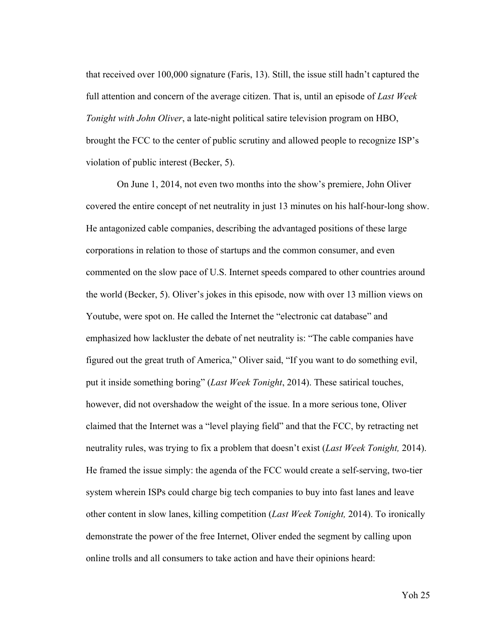that received over 100,000 signature (Faris, 13). Still, the issue still hadn't captured the full attention and concern of the average citizen. That is, until an episode of *Last Week Tonight with John Oliver*, a late-night political satire television program on HBO, brought the FCC to the center of public scrutiny and allowed people to recognize ISP's violation of public interest (Becker, 5).

On June 1, 2014, not even two months into the show's premiere, John Oliver covered the entire concept of net neutrality in just 13 minutes on his half-hour-long show. He antagonized cable companies, describing the advantaged positions of these large corporations in relation to those of startups and the common consumer, and even commented on the slow pace of U.S. Internet speeds compared to other countries around the world (Becker, 5). Oliver's jokes in this episode, now with over 13 million views on Youtube, were spot on. He called the Internet the "electronic cat database" and emphasized how lackluster the debate of net neutrality is: "The cable companies have figured out the great truth of America," Oliver said, "If you want to do something evil, put it inside something boring" (*Last Week Tonight*, 2014). These satirical touches, however, did not overshadow the weight of the issue. In a more serious tone, Oliver claimed that the Internet was a "level playing field" and that the FCC, by retracting net neutrality rules, was trying to fix a problem that doesn't exist (*Last Week Tonight,* 2014). He framed the issue simply: the agenda of the FCC would create a self-serving, two-tier system wherein ISPs could charge big tech companies to buy into fast lanes and leave other content in slow lanes, killing competition (*Last Week Tonight,* 2014). To ironically demonstrate the power of the free Internet, Oliver ended the segment by calling upon online trolls and all consumers to take action and have their opinions heard: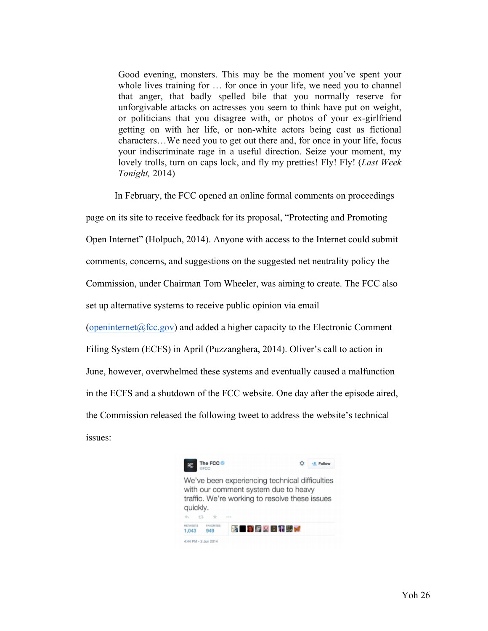Good evening, monsters. This may be the moment you've spent your whole lives training for … for once in your life, we need you to channel that anger, that badly spelled bile that you normally reserve for unforgivable attacks on actresses you seem to think have put on weight, or politicians that you disagree with, or photos of your ex-girlfriend getting on with her life, or non-white actors being cast as fictional characters…We need you to get out there and, for once in your life, focus your indiscriminate rage in a useful direction. Seize your moment, my lovely trolls, turn on caps lock, and fly my pretties! Fly! Fly! (*Last Week Tonight,* 2014)

In February, the FCC opened an online formal comments on proceedings page on its site to receive feedback for its proposal, "Protecting and Promoting Open Internet" (Holpuch, 2014). Anyone with access to the Internet could submit comments, concerns, and suggestions on the suggested net neutrality policy the Commission, under Chairman Tom Wheeler, was aiming to create. The FCC also set up alternative systems to receive public opinion via email (openinternet $@$ fcc.gov) and added a higher capacity to the Electronic Comment Filing System (ECFS) in April (Puzzanghera, 2014). Oliver's call to action in June, however, overwhelmed these systems and eventually caused a malfunction in the ECFS and a shutdown of the FCC website. One day after the episode aired, the Commission released the following tweet to address the website's technical issues:

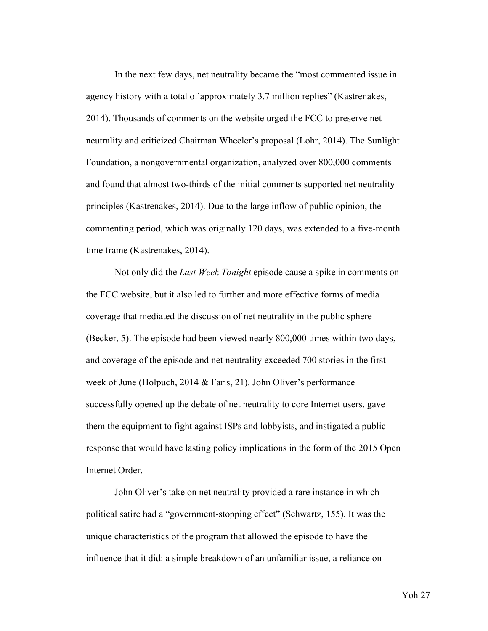In the next few days, net neutrality became the "most commented issue in agency history with a total of approximately 3.7 million replies" (Kastrenakes, 2014). Thousands of comments on the website urged the FCC to preserve net neutrality and criticized Chairman Wheeler's proposal (Lohr, 2014). The Sunlight Foundation, a nongovernmental organization, analyzed over 800,000 comments and found that almost two-thirds of the initial comments supported net neutrality principles (Kastrenakes, 2014). Due to the large inflow of public opinion, the commenting period, which was originally 120 days, was extended to a five-month time frame (Kastrenakes, 2014).

Not only did the *Last Week Tonight* episode cause a spike in comments on the FCC website, but it also led to further and more effective forms of media coverage that mediated the discussion of net neutrality in the public sphere (Becker, 5). The episode had been viewed nearly 800,000 times within two days, and coverage of the episode and net neutrality exceeded 700 stories in the first week of June (Holpuch, 2014 & Faris, 21). John Oliver's performance successfully opened up the debate of net neutrality to core Internet users, gave them the equipment to fight against ISPs and lobbyists, and instigated a public response that would have lasting policy implications in the form of the 2015 Open Internet Order.

John Oliver's take on net neutrality provided a rare instance in which political satire had a "government-stopping effect" (Schwartz, 155). It was the unique characteristics of the program that allowed the episode to have the influence that it did: a simple breakdown of an unfamiliar issue, a reliance on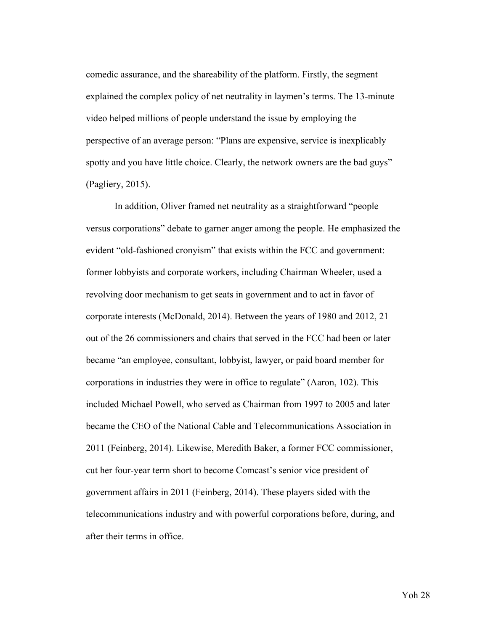comedic assurance, and the shareability of the platform. Firstly, the segment explained the complex policy of net neutrality in laymen's terms. The 13-minute video helped millions of people understand the issue by employing the perspective of an average person: "Plans are expensive, service is inexplicably spotty and you have little choice. Clearly, the network owners are the bad guys" (Pagliery, 2015).

In addition, Oliver framed net neutrality as a straightforward "people versus corporations" debate to garner anger among the people. He emphasized the evident "old-fashioned cronyism" that exists within the FCC and government: former lobbyists and corporate workers, including Chairman Wheeler, used a revolving door mechanism to get seats in government and to act in favor of corporate interests (McDonald, 2014). Between the years of 1980 and 2012, 21 out of the 26 commissioners and chairs that served in the FCC had been or later became "an employee, consultant, lobbyist, lawyer, or paid board member for corporations in industries they were in office to regulate" (Aaron, 102). This included Michael Powell, who served as Chairman from 1997 to 2005 and later became the CEO of the National Cable and Telecommunications Association in 2011 (Feinberg, 2014). Likewise, Meredith Baker, a former FCC commissioner, cut her four-year term short to become Comcast's senior vice president of government affairs in 2011 (Feinberg, 2014). These players sided with the telecommunications industry and with powerful corporations before, during, and after their terms in office.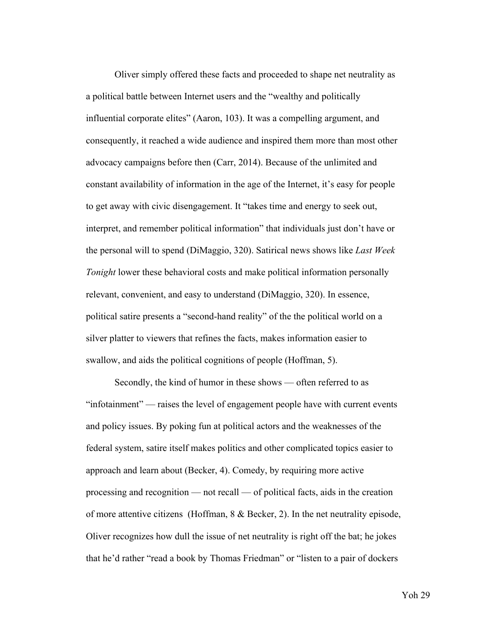Oliver simply offered these facts and proceeded to shape net neutrality as a political battle between Internet users and the "wealthy and politically influential corporate elites" (Aaron, 103). It was a compelling argument, and consequently, it reached a wide audience and inspired them more than most other advocacy campaigns before then (Carr, 2014). Because of the unlimited and constant availability of information in the age of the Internet, it's easy for people to get away with civic disengagement. It "takes time and energy to seek out, interpret, and remember political information" that individuals just don't have or the personal will to spend (DiMaggio, 320). Satirical news shows like *Last Week Tonight* lower these behavioral costs and make political information personally relevant, convenient, and easy to understand (DiMaggio, 320). In essence, political satire presents a "second-hand reality" of the the political world on a silver platter to viewers that refines the facts, makes information easier to swallow, and aids the political cognitions of people (Hoffman, 5).

Secondly, the kind of humor in these shows — often referred to as "infotainment" — raises the level of engagement people have with current events and policy issues. By poking fun at political actors and the weaknesses of the federal system, satire itself makes politics and other complicated topics easier to approach and learn about (Becker, 4). Comedy, by requiring more active processing and recognition — not recall — of political facts, aids in the creation of more attentive citizens (Hoffman, 8 & Becker, 2). In the net neutrality episode, Oliver recognizes how dull the issue of net neutrality is right off the bat; he jokes that he'd rather "read a book by Thomas Friedman" or "listen to a pair of dockers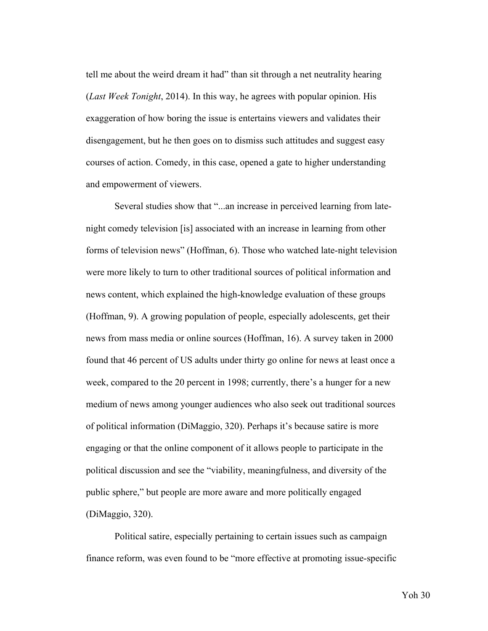tell me about the weird dream it had" than sit through a net neutrality hearing (*Last Week Tonight*, 2014). In this way, he agrees with popular opinion. His exaggeration of how boring the issue is entertains viewers and validates their disengagement, but he then goes on to dismiss such attitudes and suggest easy courses of action. Comedy, in this case, opened a gate to higher understanding and empowerment of viewers.

Several studies show that "...an increase in perceived learning from latenight comedy television [is] associated with an increase in learning from other forms of television news" (Hoffman, 6). Those who watched late-night television were more likely to turn to other traditional sources of political information and news content, which explained the high-knowledge evaluation of these groups (Hoffman, 9). A growing population of people, especially adolescents, get their news from mass media or online sources (Hoffman, 16). A survey taken in 2000 found that 46 percent of US adults under thirty go online for news at least once a week, compared to the 20 percent in 1998; currently, there's a hunger for a new medium of news among younger audiences who also seek out traditional sources of political information (DiMaggio, 320). Perhaps it's because satire is more engaging or that the online component of it allows people to participate in the political discussion and see the "viability, meaningfulness, and diversity of the public sphere," but people are more aware and more politically engaged (DiMaggio, 320).

Political satire, especially pertaining to certain issues such as campaign finance reform, was even found to be "more effective at promoting issue-specific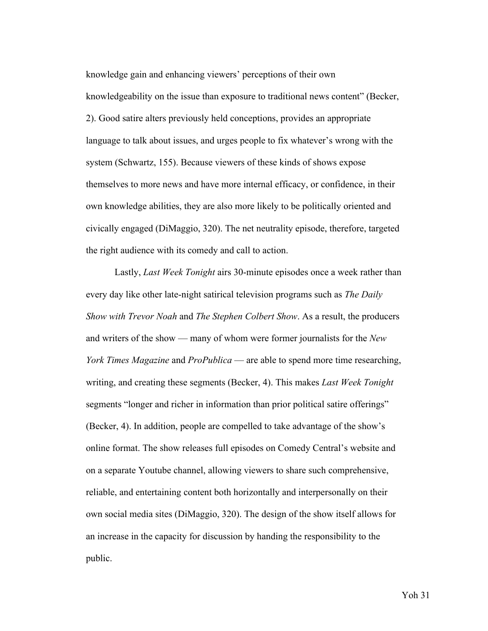knowledge gain and enhancing viewers' perceptions of their own knowledgeability on the issue than exposure to traditional news content" (Becker, 2). Good satire alters previously held conceptions, provides an appropriate language to talk about issues, and urges people to fix whatever's wrong with the system (Schwartz, 155). Because viewers of these kinds of shows expose themselves to more news and have more internal efficacy, or confidence, in their own knowledge abilities, they are also more likely to be politically oriented and civically engaged (DiMaggio, 320). The net neutrality episode, therefore, targeted the right audience with its comedy and call to action.

Lastly, *Last Week Tonight* airs 30-minute episodes once a week rather than every day like other late-night satirical television programs such as *The Daily Show with Trevor Noah* and *The Stephen Colbert Show*. As a result, the producers and writers of the show — many of whom were former journalists for the *New York Times Magazine* and *ProPublica* — are able to spend more time researching, writing, and creating these segments (Becker, 4). This makes *Last Week Tonight*  segments "longer and richer in information than prior political satire offerings" (Becker, 4). In addition, people are compelled to take advantage of the show's online format. The show releases full episodes on Comedy Central's website and on a separate Youtube channel, allowing viewers to share such comprehensive, reliable, and entertaining content both horizontally and interpersonally on their own social media sites (DiMaggio, 320). The design of the show itself allows for an increase in the capacity for discussion by handing the responsibility to the public.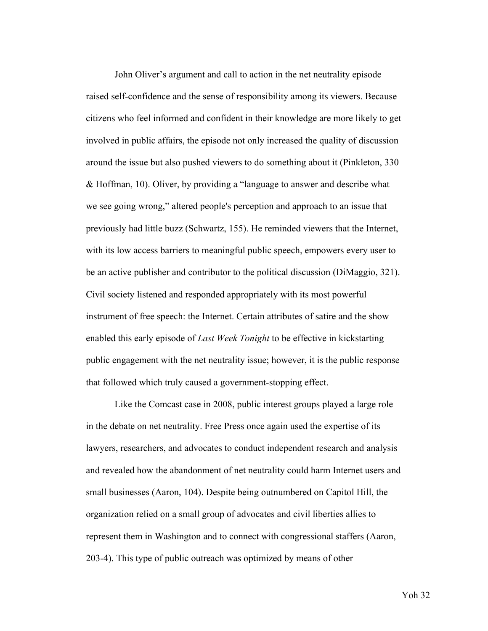John Oliver's argument and call to action in the net neutrality episode raised self-confidence and the sense of responsibility among its viewers. Because citizens who feel informed and confident in their knowledge are more likely to get involved in public affairs, the episode not only increased the quality of discussion around the issue but also pushed viewers to do something about it (Pinkleton, 330 & Hoffman, 10). Oliver, by providing a "language to answer and describe what we see going wrong," altered people's perception and approach to an issue that previously had little buzz (Schwartz, 155). He reminded viewers that the Internet, with its low access barriers to meaningful public speech, empowers every user to be an active publisher and contributor to the political discussion (DiMaggio, 321). Civil society listened and responded appropriately with its most powerful instrument of free speech: the Internet. Certain attributes of satire and the show enabled this early episode of *Last Week Tonight* to be effective in kickstarting public engagement with the net neutrality issue; however, it is the public response that followed which truly caused a government-stopping effect.

Like the Comcast case in 2008, public interest groups played a large role in the debate on net neutrality. Free Press once again used the expertise of its lawyers, researchers, and advocates to conduct independent research and analysis and revealed how the abandonment of net neutrality could harm Internet users and small businesses (Aaron, 104). Despite being outnumbered on Capitol Hill, the organization relied on a small group of advocates and civil liberties allies to represent them in Washington and to connect with congressional staffers (Aaron, 203-4). This type of public outreach was optimized by means of other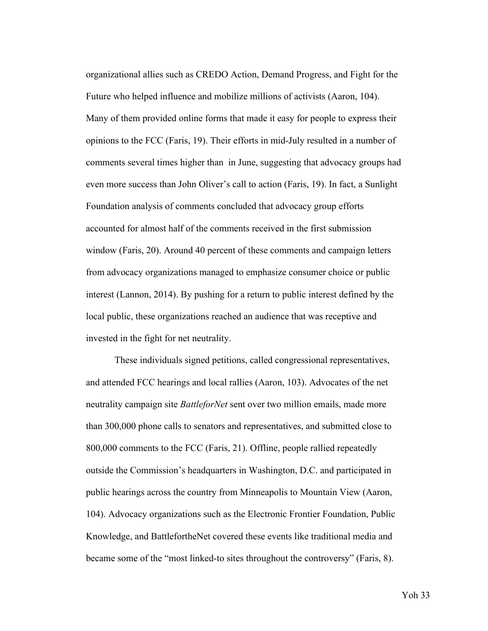organizational allies such as CREDO Action, Demand Progress, and Fight for the Future who helped influence and mobilize millions of activists (Aaron, 104). Many of them provided online forms that made it easy for people to express their opinions to the FCC (Faris, 19). Their efforts in mid-July resulted in a number of comments several times higher than in June, suggesting that advocacy groups had even more success than John Oliver's call to action (Faris, 19). In fact, a Sunlight Foundation analysis of comments concluded that advocacy group efforts accounted for almost half of the comments received in the first submission window (Faris, 20). Around 40 percent of these comments and campaign letters from advocacy organizations managed to emphasize consumer choice or public interest (Lannon, 2014). By pushing for a return to public interest defined by the local public, these organizations reached an audience that was receptive and invested in the fight for net neutrality.

These individuals signed petitions, called congressional representatives, and attended FCC hearings and local rallies (Aaron, 103). Advocates of the net neutrality campaign site *BattleforNet* sent over two million emails, made more than 300,000 phone calls to senators and representatives, and submitted close to 800,000 comments to the FCC (Faris, 21). Offline, people rallied repeatedly outside the Commission's headquarters in Washington, D.C. and participated in public hearings across the country from Minneapolis to Mountain View (Aaron, 104). Advocacy organizations such as the Electronic Frontier Foundation, Public Knowledge, and BattlefortheNet covered these events like traditional media and became some of the "most linked-to sites throughout the controversy" (Faris, 8).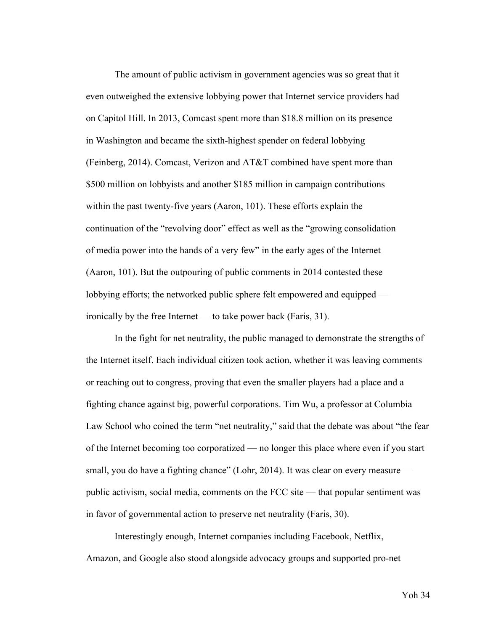The amount of public activism in government agencies was so great that it even outweighed the extensive lobbying power that Internet service providers had on Capitol Hill. In 2013, Comcast spent more than \$18.8 million on its presence in Washington and became the sixth-highest spender on federal lobbying (Feinberg, 2014). Comcast, Verizon and AT&T combined have spent more than \$500 million on lobbyists and another \$185 million in campaign contributions within the past twenty-five years (Aaron, 101). These efforts explain the continuation of the "revolving door" effect as well as the "growing consolidation of media power into the hands of a very few" in the early ages of the Internet (Aaron, 101). But the outpouring of public comments in 2014 contested these lobbying efforts; the networked public sphere felt empowered and equipped ironically by the free Internet — to take power back (Faris, 31).

In the fight for net neutrality, the public managed to demonstrate the strengths of the Internet itself. Each individual citizen took action, whether it was leaving comments or reaching out to congress, proving that even the smaller players had a place and a fighting chance against big, powerful corporations. Tim Wu, a professor at Columbia Law School who coined the term "net neutrality," said that the debate was about "the fear of the Internet becoming too corporatized — no longer this place where even if you start small, you do have a fighting chance" (Lohr, 2014). It was clear on every measure public activism, social media, comments on the FCC site — that popular sentiment was in favor of governmental action to preserve net neutrality (Faris, 30).

Interestingly enough, Internet companies including Facebook, Netflix, Amazon, and Google also stood alongside advocacy groups and supported pro-net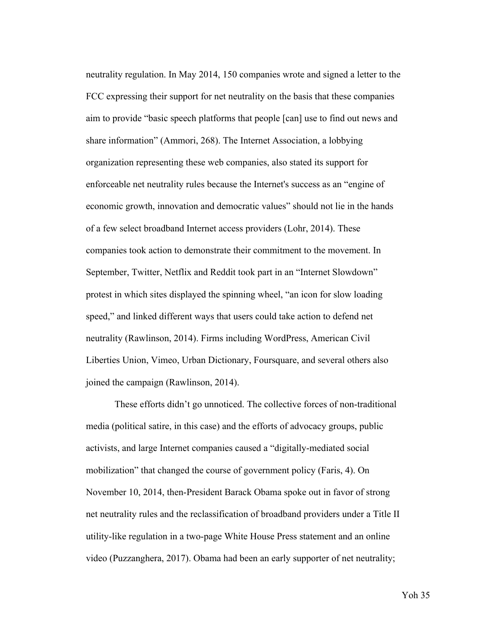neutrality regulation. In May 2014, 150 companies wrote and signed a letter to the FCC expressing their support for net neutrality on the basis that these companies aim to provide "basic speech platforms that people [can] use to find out news and share information" (Ammori, 268). The Internet Association, a lobbying organization representing these web companies, also stated its support for enforceable net neutrality rules because the Internet's success as an "engine of economic growth, innovation and democratic values" should not lie in the hands of a few select broadband Internet access providers (Lohr, 2014). These companies took action to demonstrate their commitment to the movement. In September, Twitter, Netflix and Reddit took part in an "Internet Slowdown" protest in which sites displayed the spinning wheel, "an icon for slow loading speed," and linked different ways that users could take action to defend net neutrality (Rawlinson, 2014). Firms including WordPress, American Civil Liberties Union, Vimeo, Urban Dictionary, Foursquare, and several others also joined the campaign (Rawlinson, 2014).

These efforts didn't go unnoticed. The collective forces of non-traditional media (political satire, in this case) and the efforts of advocacy groups, public activists, and large Internet companies caused a "digitally-mediated social mobilization" that changed the course of government policy (Faris, 4). On November 10, 2014, then-President Barack Obama spoke out in favor of strong net neutrality rules and the reclassification of broadband providers under a Title II utility-like regulation in a two-page White House Press statement and an online video (Puzzanghera, 2017). Obama had been an early supporter of net neutrality;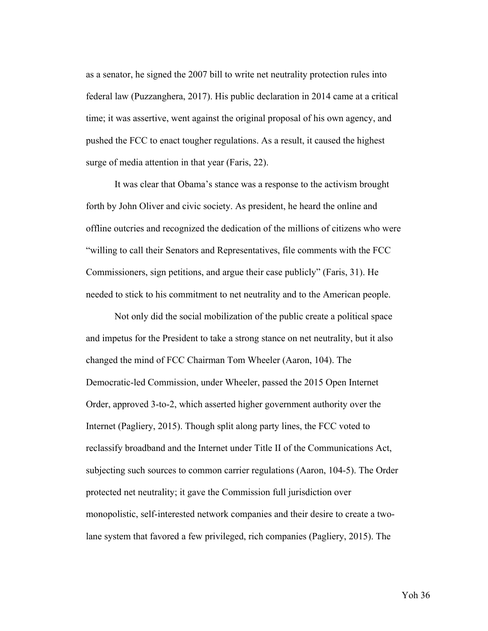as a senator, he signed the 2007 bill to write net neutrality protection rules into federal law (Puzzanghera, 2017). His public declaration in 2014 came at a critical time; it was assertive, went against the original proposal of his own agency, and pushed the FCC to enact tougher regulations. As a result, it caused the highest surge of media attention in that year (Faris, 22).

It was clear that Obama's stance was a response to the activism brought forth by John Oliver and civic society. As president, he heard the online and offline outcries and recognized the dedication of the millions of citizens who were "willing to call their Senators and Representatives, file comments with the FCC Commissioners, sign petitions, and argue their case publicly" (Faris, 31). He needed to stick to his commitment to net neutrality and to the American people.

Not only did the social mobilization of the public create a political space and impetus for the President to take a strong stance on net neutrality, but it also changed the mind of FCC Chairman Tom Wheeler (Aaron, 104). The Democratic-led Commission, under Wheeler, passed the 2015 Open Internet Order, approved 3-to-2, which asserted higher government authority over the Internet (Pagliery, 2015). Though split along party lines, the FCC voted to reclassify broadband and the Internet under Title II of the Communications Act, subjecting such sources to common carrier regulations (Aaron, 104-5). The Order protected net neutrality; it gave the Commission full jurisdiction over monopolistic, self-interested network companies and their desire to create a twolane system that favored a few privileged, rich companies (Pagliery, 2015). The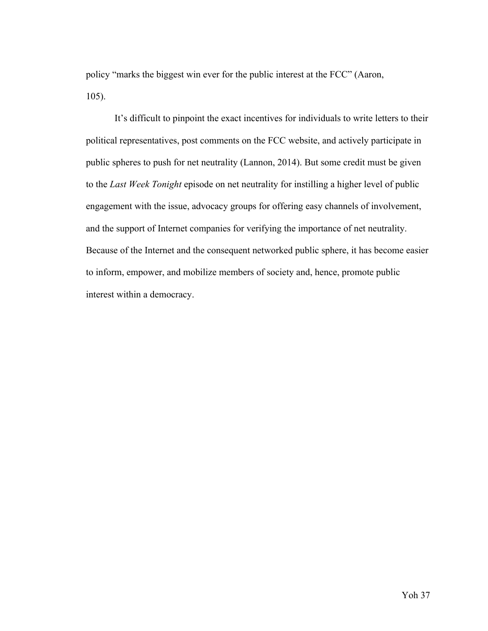policy "marks the biggest win ever for the public interest at the FCC" (Aaron, 105).

It's difficult to pinpoint the exact incentives for individuals to write letters to their political representatives, post comments on the FCC website, and actively participate in public spheres to push for net neutrality (Lannon, 2014). But some credit must be given to the *Last Week Tonight* episode on net neutrality for instilling a higher level of public engagement with the issue, advocacy groups for offering easy channels of involvement, and the support of Internet companies for verifying the importance of net neutrality. Because of the Internet and the consequent networked public sphere, it has become easier to inform, empower, and mobilize members of society and, hence, promote public interest within a democracy.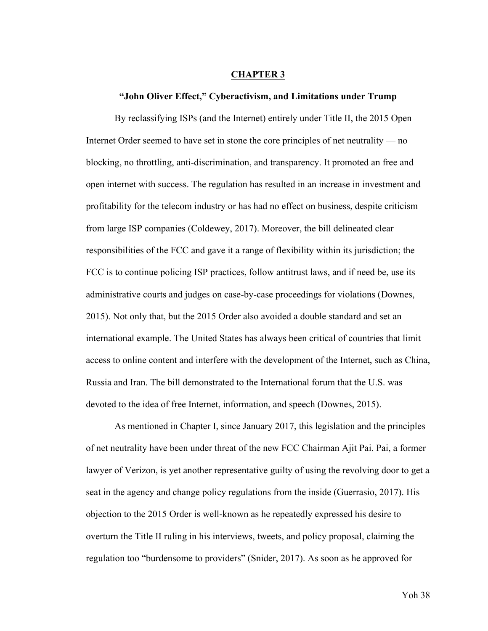#### **CHAPTER 3**

#### **"John Oliver Effect," Cyberactivism, and Limitations under Trump**

By reclassifying ISPs (and the Internet) entirely under Title II, the 2015 Open Internet Order seemed to have set in stone the core principles of net neutrality — no blocking, no throttling, anti-discrimination, and transparency. It promoted an free and open internet with success. The regulation has resulted in an increase in investment and profitability for the telecom industry or has had no effect on business, despite criticism from large ISP companies (Coldewey, 2017). Moreover, the bill delineated clear responsibilities of the FCC and gave it a range of flexibility within its jurisdiction; the FCC is to continue policing ISP practices, follow antitrust laws, and if need be, use its administrative courts and judges on case-by-case proceedings for violations (Downes, 2015). Not only that, but the 2015 Order also avoided a double standard and set an international example. The United States has always been critical of countries that limit access to online content and interfere with the development of the Internet, such as China, Russia and Iran. The bill demonstrated to the International forum that the U.S. was devoted to the idea of free Internet, information, and speech (Downes, 2015).

As mentioned in Chapter I, since January 2017, this legislation and the principles of net neutrality have been under threat of the new FCC Chairman Ajit Pai. Pai, a former lawyer of Verizon, is yet another representative guilty of using the revolving door to get a seat in the agency and change policy regulations from the inside (Guerrasio, 2017). His objection to the 2015 Order is well-known as he repeatedly expressed his desire to overturn the Title II ruling in his interviews, tweets, and policy proposal, claiming the regulation too "burdensome to providers" (Snider, 2017). As soon as he approved for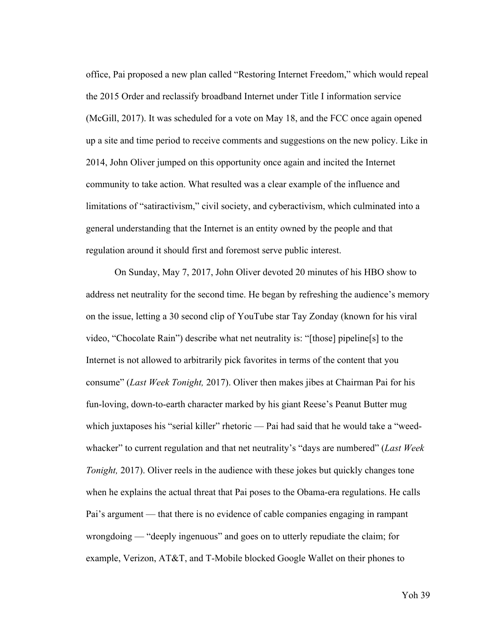office, Pai proposed a new plan called "Restoring Internet Freedom," which would repeal the 2015 Order and reclassify broadband Internet under Title I information service (McGill, 2017). It was scheduled for a vote on May 18, and the FCC once again opened up a site and time period to receive comments and suggestions on the new policy. Like in 2014, John Oliver jumped on this opportunity once again and incited the Internet community to take action. What resulted was a clear example of the influence and limitations of "satiractivism," civil society, and cyberactivism, which culminated into a general understanding that the Internet is an entity owned by the people and that regulation around it should first and foremost serve public interest.

On Sunday, May 7, 2017, John Oliver devoted 20 minutes of his HBO show to address net neutrality for the second time. He began by refreshing the audience's memory on the issue, letting a 30 second clip of YouTube star Tay Zonday (known for his viral video, "Chocolate Rain") describe what net neutrality is: "[those] pipeline[s] to the Internet is not allowed to arbitrarily pick favorites in terms of the content that you consume" (*Last Week Tonight,* 2017). Oliver then makes jibes at Chairman Pai for his fun-loving, down-to-earth character marked by his giant Reese's Peanut Butter mug which juxtaposes his "serial killer" rhetoric — Pai had said that he would take a "weedwhacker" to current regulation and that net neutrality's "days are numbered" (*Last Week Tonight, 2017*). Oliver reels in the audience with these jokes but quickly changes tone when he explains the actual threat that Pai poses to the Obama-era regulations. He calls Pai's argument — that there is no evidence of cable companies engaging in rampant wrongdoing — "deeply ingenuous" and goes on to utterly repudiate the claim; for example, Verizon, AT&T, and T-Mobile blocked Google Wallet on their phones to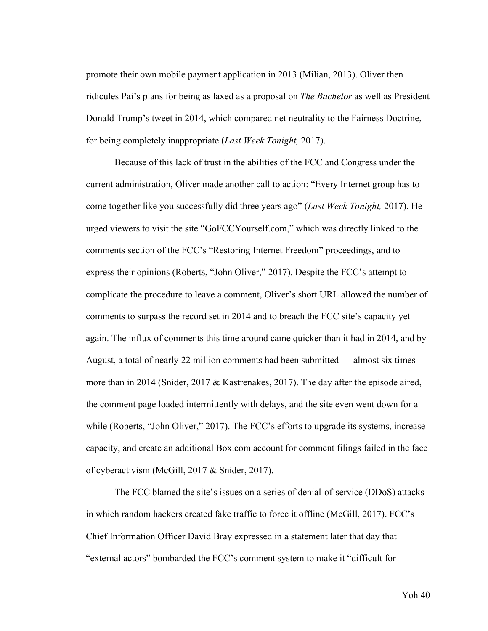promote their own mobile payment application in 2013 (Milian, 2013). Oliver then ridicules Pai's plans for being as laxed as a proposal on *The Bachelor* as well as President Donald Trump's tweet in 2014, which compared net neutrality to the Fairness Doctrine, for being completely inappropriate (*Last Week Tonight,* 2017).

Because of this lack of trust in the abilities of the FCC and Congress under the current administration, Oliver made another call to action: "Every Internet group has to come together like you successfully did three years ago" (*Last Week Tonight,* 2017). He urged viewers to visit the site "GoFCCYourself.com," which was directly linked to the comments section of the FCC's "Restoring Internet Freedom" proceedings, and to express their opinions (Roberts, "John Oliver," 2017). Despite the FCC's attempt to complicate the procedure to leave a comment, Oliver's short URL allowed the number of comments to surpass the record set in 2014 and to breach the FCC site's capacity yet again. The influx of comments this time around came quicker than it had in 2014, and by August, a total of nearly 22 million comments had been submitted — almost six times more than in 2014 (Snider, 2017 & Kastrenakes, 2017). The day after the episode aired, the comment page loaded intermittently with delays, and the site even went down for a while (Roberts, "John Oliver," 2017). The FCC's efforts to upgrade its systems, increase capacity, and create an additional Box.com account for comment filings failed in the face of cyberactivism (McGill, 2017 & Snider, 2017).

The FCC blamed the site's issues on a series of denial-of-service (DDoS) attacks in which random hackers created fake traffic to force it offline (McGill, 2017). FCC's Chief Information Officer David Bray expressed in a statement later that day that "external actors" bombarded the FCC's comment system to make it "difficult for

Yoh 40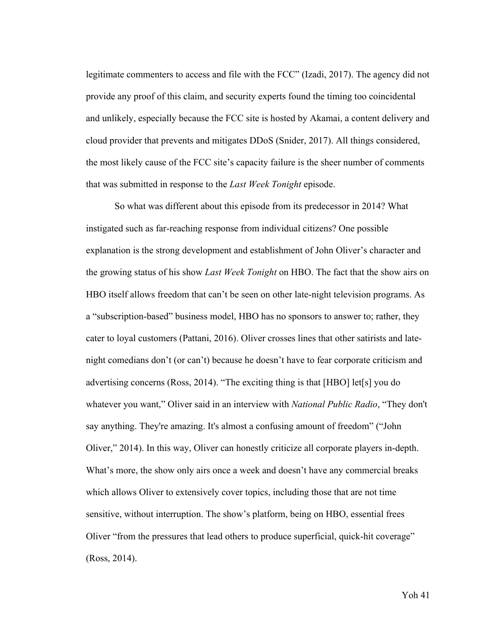legitimate commenters to access and file with the FCC" (Izadi, 2017). The agency did not provide any proof of this claim, and security experts found the timing too coincidental and unlikely, especially because the FCC site is hosted by Akamai, a content delivery and cloud provider that prevents and mitigates DDoS (Snider, 2017). All things considered, the most likely cause of the FCC site's capacity failure is the sheer number of comments that was submitted in response to the *Last Week Tonight* episode.

So what was different about this episode from its predecessor in 2014? What instigated such as far-reaching response from individual citizens? One possible explanation is the strong development and establishment of John Oliver's character and the growing status of his show *Last Week Tonight* on HBO. The fact that the show airs on HBO itself allows freedom that can't be seen on other late-night television programs. As a "subscription-based" business model, HBO has no sponsors to answer to; rather, they cater to loyal customers (Pattani, 2016). Oliver crosses lines that other satirists and latenight comedians don't (or can't) because he doesn't have to fear corporate criticism and advertising concerns (Ross, 2014). "The exciting thing is that [HBO] let[s] you do whatever you want," Oliver said in an interview with *National Public Radio*, "They don't say anything. They're amazing. It's almost a confusing amount of freedom" ("John Oliver," 2014). In this way, Oliver can honestly criticize all corporate players in-depth. What's more, the show only airs once a week and doesn't have any commercial breaks which allows Oliver to extensively cover topics, including those that are not time sensitive, without interruption. The show's platform, being on HBO, essential frees Oliver "from the pressures that lead others to produce superficial, quick-hit coverage" (Ross, 2014).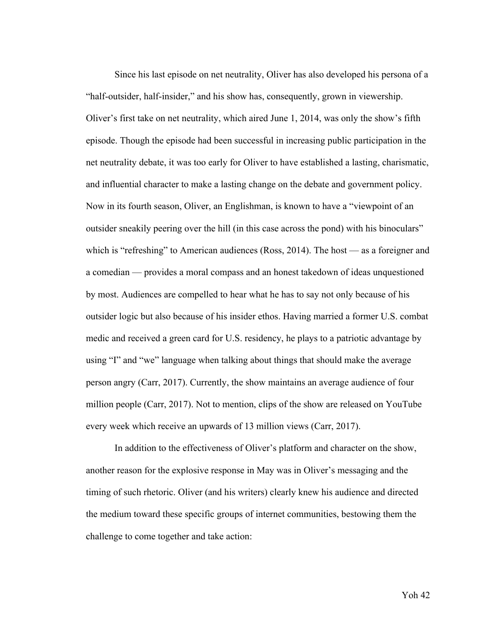Since his last episode on net neutrality, Oliver has also developed his persona of a "half-outsider, half-insider," and his show has, consequently, grown in viewership. Oliver's first take on net neutrality, which aired June 1, 2014, was only the show's fifth episode. Though the episode had been successful in increasing public participation in the net neutrality debate, it was too early for Oliver to have established a lasting, charismatic, and influential character to make a lasting change on the debate and government policy. Now in its fourth season, Oliver, an Englishman, is known to have a "viewpoint of an outsider sneakily peering over the hill (in this case across the pond) with his binoculars" which is "refreshing" to American audiences (Ross, 2014). The host — as a foreigner and a comedian — provides a moral compass and an honest takedown of ideas unquestioned by most. Audiences are compelled to hear what he has to say not only because of his outsider logic but also because of his insider ethos. Having married a former U.S. combat medic and received a green card for U.S. residency, he plays to a patriotic advantage by using "I" and "we" language when talking about things that should make the average person angry (Carr, 2017). Currently, the show maintains an average audience of four million people (Carr, 2017). Not to mention, clips of the show are released on YouTube every week which receive an upwards of 13 million views (Carr, 2017).

In addition to the effectiveness of Oliver's platform and character on the show, another reason for the explosive response in May was in Oliver's messaging and the timing of such rhetoric. Oliver (and his writers) clearly knew his audience and directed the medium toward these specific groups of internet communities, bestowing them the challenge to come together and take action: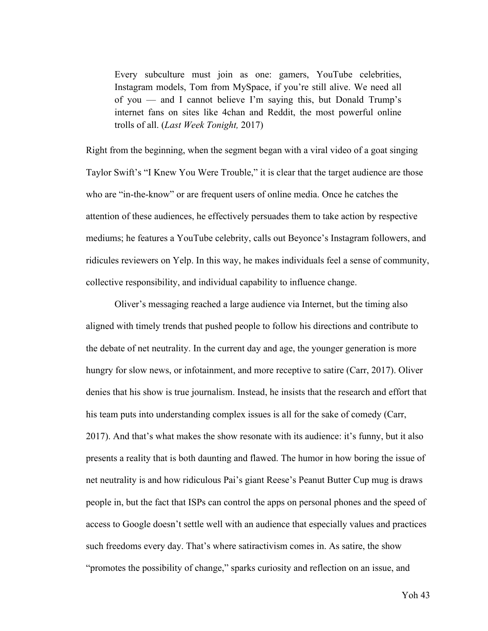Every subculture must join as one: gamers, YouTube celebrities, Instagram models, Tom from MySpace, if you're still alive. We need all of you — and I cannot believe I'm saying this, but Donald Trump's internet fans on sites like 4chan and Reddit, the most powerful online trolls of all. (*Last Week Tonight,* 2017)

Right from the beginning, when the segment began with a viral video of a goat singing Taylor Swift's "I Knew You Were Trouble," it is clear that the target audience are those who are "in-the-know" or are frequent users of online media. Once he catches the attention of these audiences, he effectively persuades them to take action by respective mediums; he features a YouTube celebrity, calls out Beyonce's Instagram followers, and ridicules reviewers on Yelp. In this way, he makes individuals feel a sense of community, collective responsibility, and individual capability to influence change.

Oliver's messaging reached a large audience via Internet, but the timing also aligned with timely trends that pushed people to follow his directions and contribute to the debate of net neutrality. In the current day and age, the younger generation is more hungry for slow news, or infotainment, and more receptive to satire (Carr, 2017). Oliver denies that his show is true journalism. Instead, he insists that the research and effort that his team puts into understanding complex issues is all for the sake of comedy (Carr, 2017). And that's what makes the show resonate with its audience: it's funny, but it also presents a reality that is both daunting and flawed. The humor in how boring the issue of net neutrality is and how ridiculous Pai's giant Reese's Peanut Butter Cup mug is draws people in, but the fact that ISPs can control the apps on personal phones and the speed of access to Google doesn't settle well with an audience that especially values and practices such freedoms every day. That's where satiractivism comes in. As satire, the show "promotes the possibility of change," sparks curiosity and reflection on an issue, and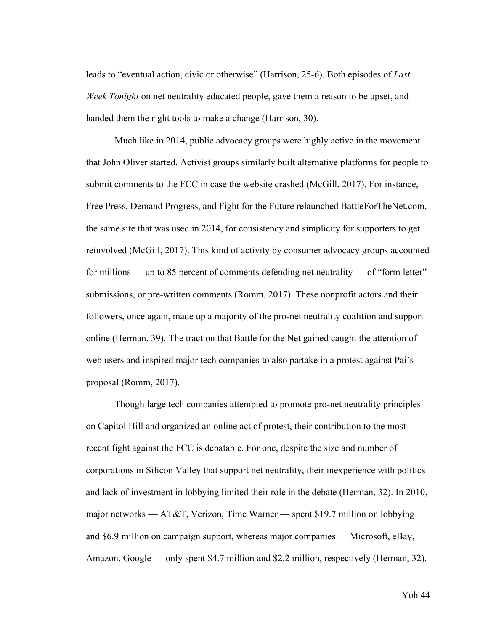leads to "eventual action, civic or otherwise" (Harrison, 25-6). Both episodes of *Last Week Tonight* on net neutrality educated people, gave them a reason to be upset, and handed them the right tools to make a change (Harrison, 30).

Much like in 2014, public advocacy groups were highly active in the movement that John Oliver started. Activist groups similarly built alternative platforms for people to submit comments to the FCC in case the website crashed (McGill, 2017). For instance, Free Press, Demand Progress, and Fight for the Future relaunched BattleForTheNet.com, the same site that was used in 2014, for consistency and simplicity for supporters to get reinvolved (McGill, 2017). This kind of activity by consumer advocacy groups accounted for millions — up to 85 percent of comments defending net neutrality — of "form letter" submissions, or pre-written comments (Romm, 2017). These nonprofit actors and their followers, once again, made up a majority of the pro-net neutrality coalition and support online (Herman, 39). The traction that Battle for the Net gained caught the attention of web users and inspired major tech companies to also partake in a protest against Pai's proposal (Romm, 2017).

Though large tech companies attempted to promote pro-net neutrality principles on Capitol Hill and organized an online act of protest, their contribution to the most recent fight against the FCC is debatable. For one, despite the size and number of corporations in Silicon Valley that support net neutrality, their inexperience with politics and lack of investment in lobbying limited their role in the debate (Herman, 32). In 2010, major networks — AT&T, Verizon, Time Warner — spent \$19.7 million on lobbying and \$6.9 million on campaign support, whereas major companies — Microsoft, eBay, Amazon, Google — only spent \$4.7 million and \$2.2 million, respectively (Herman, 32).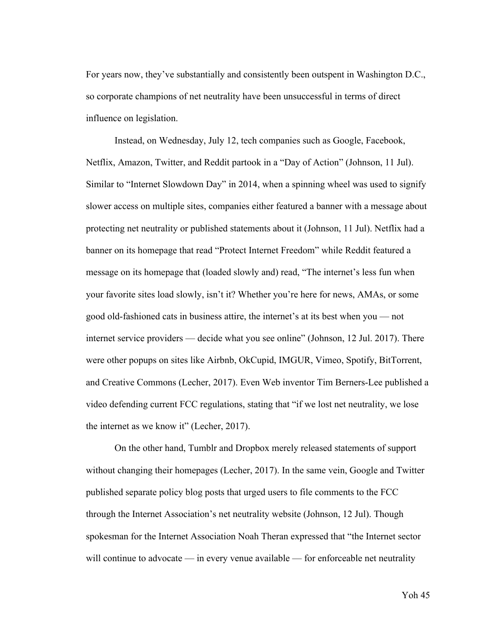For years now, they've substantially and consistently been outspent in Washington D.C., so corporate champions of net neutrality have been unsuccessful in terms of direct influence on legislation.

Instead, on Wednesday, July 12, tech companies such as Google, Facebook, Netflix, Amazon, Twitter, and Reddit partook in a "Day of Action" (Johnson, 11 Jul). Similar to "Internet Slowdown Day" in 2014, when a spinning wheel was used to signify slower access on multiple sites, companies either featured a banner with a message about protecting net neutrality or published statements about it (Johnson, 11 Jul). Netflix had a banner on its homepage that read "Protect Internet Freedom" while Reddit featured a message on its homepage that (loaded slowly and) read, "The internet's less fun when your favorite sites load slowly, isn't it? Whether you're here for news, AMAs, or some good old-fashioned cats in business attire, the internet's at its best when you — not internet service providers — decide what you see online" (Johnson, 12 Jul. 2017). There were other popups on sites like Airbnb, OkCupid, IMGUR, Vimeo, Spotify, BitTorrent, and Creative Commons (Lecher, 2017). Even Web inventor Tim Berners-Lee published a video defending current FCC regulations, stating that "if we lost net neutrality, we lose the internet as we know it" (Lecher, 2017).

On the other hand, Tumblr and Dropbox merely released statements of support without changing their homepages (Lecher, 2017). In the same vein, Google and Twitter published separate policy blog posts that urged users to file comments to the FCC through the Internet Association's net neutrality website (Johnson, 12 Jul). Though spokesman for the Internet Association Noah Theran expressed that "the Internet sector will continue to advocate — in every venue available — for enforceable net neutrality

Yoh 45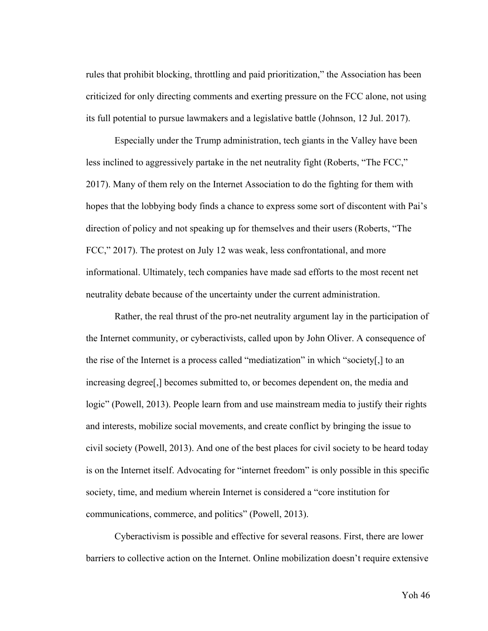rules that prohibit blocking, throttling and paid prioritization," the Association has been criticized for only directing comments and exerting pressure on the FCC alone, not using its full potential to pursue lawmakers and a legislative battle (Johnson, 12 Jul. 2017).

Especially under the Trump administration, tech giants in the Valley have been less inclined to aggressively partake in the net neutrality fight (Roberts, "The FCC," 2017). Many of them rely on the Internet Association to do the fighting for them with hopes that the lobbying body finds a chance to express some sort of discontent with Pai's direction of policy and not speaking up for themselves and their users (Roberts, "The FCC," 2017). The protest on July 12 was weak, less confrontational, and more informational. Ultimately, tech companies have made sad efforts to the most recent net neutrality debate because of the uncertainty under the current administration.

Rather, the real thrust of the pro-net neutrality argument lay in the participation of the Internet community, or cyberactivists, called upon by John Oliver. A consequence of the rise of the Internet is a process called "mediatization" in which "society[,] to an increasing degree[,] becomes submitted to, or becomes dependent on, the media and logic" (Powell, 2013). People learn from and use mainstream media to justify their rights and interests, mobilize social movements, and create conflict by bringing the issue to civil society (Powell, 2013). And one of the best places for civil society to be heard today is on the Internet itself. Advocating for "internet freedom" is only possible in this specific society, time, and medium wherein Internet is considered a "core institution for communications, commerce, and politics" (Powell, 2013).

Cyberactivism is possible and effective for several reasons. First, there are lower barriers to collective action on the Internet. Online mobilization doesn't require extensive

Yoh 46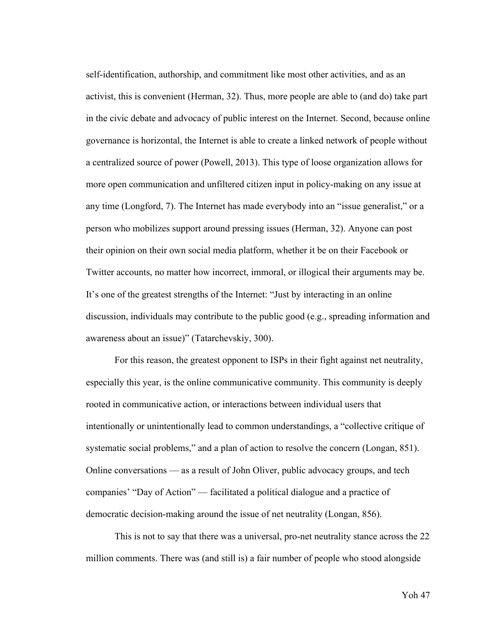self-identification, authorship, and commitment like most other activities, and as an activist, this is convenient (Herman, 32). Thus, more people are able to (and do) take part in the civic debate and advocacy of public interest on the Internet. Second, because online governance is horizontal, the Internet is able to create a linked network of people without a centralized source of power (Powell, 2013). This type of loose organization allows for more open communication and unfiltered citizen input in policy-making on any issue at any time (Longford, 7). The Internet has made everybody into an "issue generalist," or a person who mobilizes support around pressing issues (Herman, 32). Anyone can post their opinion on their own social media platform, whether it be on their Facebook or Twitter accounts, no matter how incorrect, immoral, or illogical their arguments may be. It's one of the greatest strengths of the Internet: "Just by interacting in an online discussion, individuals may contribute to the public good (e.g., spreading information and awareness about an issue)" (Tatarchevskiy, 300).

For this reason, the greatest opponent to ISPs in their fight against net neutrality, especially this year, is the online communicative community. This community is deeply rooted in communicative action, or interactions between individual users that intentionally or unintentionally lead to common understandings, a "collective critique of systematic social problems," and a plan of action to resolve the concern (Longan, 851). Online conversations — as a result of John Oliver, public advocacy groups, and tech companies' "Day of Action" — facilitated a political dialogue and a practice of democratic decision-making around the issue of net neutrality (Longan, 856).

This is not to say that there was a universal, pro-net neutrality stance across the 22 million comments. There was (and still is) a fair number of people who stood alongside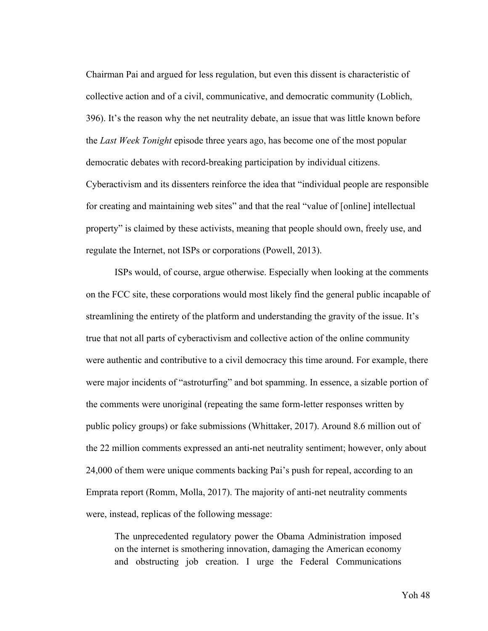Chairman Pai and argued for less regulation, but even this dissent is characteristic of collective action and of a civil, communicative, and democratic community (Loblich, 396). It's the reason why the net neutrality debate, an issue that was little known before the *Last Week Tonight* episode three years ago, has become one of the most popular democratic debates with record-breaking participation by individual citizens. Cyberactivism and its dissenters reinforce the idea that "individual people are responsible for creating and maintaining web sites" and that the real "value of [online] intellectual property" is claimed by these activists, meaning that people should own, freely use, and regulate the Internet, not ISPs or corporations (Powell, 2013).

ISPs would, of course, argue otherwise. Especially when looking at the comments on the FCC site, these corporations would most likely find the general public incapable of streamlining the entirety of the platform and understanding the gravity of the issue. It's true that not all parts of cyberactivism and collective action of the online community were authentic and contributive to a civil democracy this time around. For example, there were major incidents of "astroturfing" and bot spamming. In essence, a sizable portion of the comments were unoriginal (repeating the same form-letter responses written by public policy groups) or fake submissions (Whittaker, 2017). Around 8.6 million out of the 22 million comments expressed an anti-net neutrality sentiment; however, only about 24,000 of them were unique comments backing Pai's push for repeal, according to an Emprata report (Romm, Molla, 2017). The majority of anti-net neutrality comments were, instead, replicas of the following message:

The unprecedented regulatory power the Obama Administration imposed on the internet is smothering innovation, damaging the American economy and obstructing job creation. I urge the Federal Communications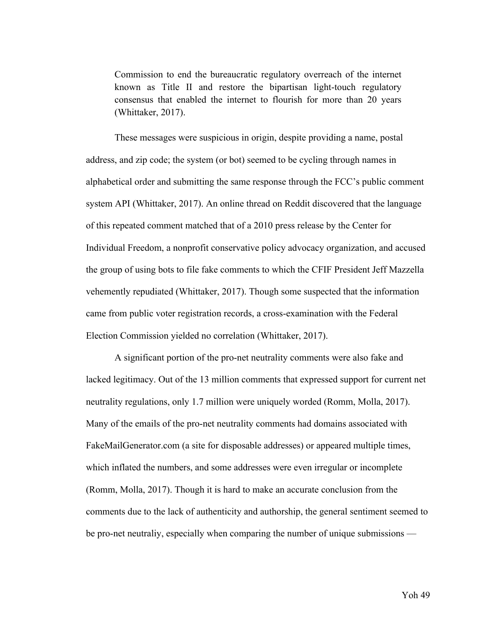Commission to end the bureaucratic regulatory overreach of the internet known as Title II and restore the bipartisan light-touch regulatory consensus that enabled the internet to flourish for more than 20 years (Whittaker, 2017).

These messages were suspicious in origin, despite providing a name, postal address, and zip code; the system (or bot) seemed to be cycling through names in alphabetical order and submitting the same response through the FCC's public comment system API (Whittaker, 2017). An online thread on Reddit discovered that the language of this repeated comment matched that of a 2010 press release by the Center for Individual Freedom, a nonprofit conservative policy advocacy organization, and accused the group of using bots to file fake comments to which the CFIF President Jeff Mazzella vehemently repudiated (Whittaker, 2017). Though some suspected that the information came from public voter registration records, a cross-examination with the Federal Election Commission yielded no correlation (Whittaker, 2017).

A significant portion of the pro-net neutrality comments were also fake and lacked legitimacy. Out of the 13 million comments that expressed support for current net neutrality regulations, only 1.7 million were uniquely worded (Romm, Molla, 2017). Many of the emails of the pro-net neutrality comments had domains associated with FakeMailGenerator.com (a site for disposable addresses) or appeared multiple times, which inflated the numbers, and some addresses were even irregular or incomplete (Romm, Molla, 2017). Though it is hard to make an accurate conclusion from the comments due to the lack of authenticity and authorship, the general sentiment seemed to be pro-net neutraliy, especially when comparing the number of unique submissions —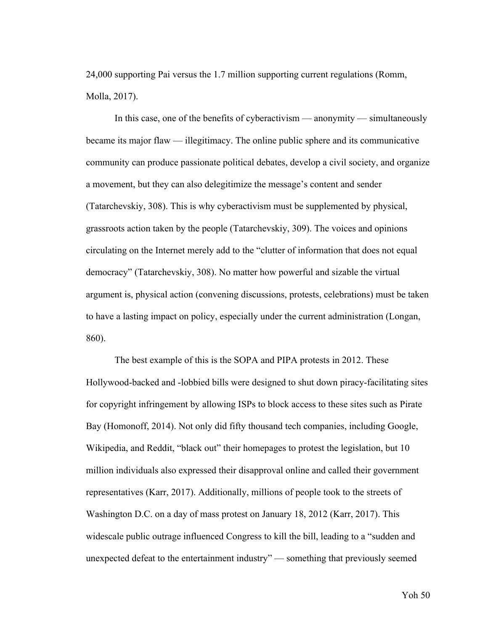24,000 supporting Pai versus the 1.7 million supporting current regulations (Romm, Molla, 2017).

In this case, one of the benefits of cyberactivism — anonymity — simultaneously became its major flaw — illegitimacy. The online public sphere and its communicative community can produce passionate political debates, develop a civil society, and organize a movement, but they can also delegitimize the message's content and sender (Tatarchevskiy, 308). This is why cyberactivism must be supplemented by physical, grassroots action taken by the people (Tatarchevskiy, 309). The voices and opinions circulating on the Internet merely add to the "clutter of information that does not equal democracy" (Tatarchevskiy, 308). No matter how powerful and sizable the virtual argument is, physical action (convening discussions, protests, celebrations) must be taken to have a lasting impact on policy, especially under the current administration (Longan, 860).

The best example of this is the SOPA and PIPA protests in 2012. These Hollywood-backed and -lobbied bills were designed to shut down piracy-facilitating sites for copyright infringement by allowing ISPs to block access to these sites such as Pirate Bay (Homonoff, 2014). Not only did fifty thousand tech companies, including Google, Wikipedia, and Reddit, "black out" their homepages to protest the legislation, but 10 million individuals also expressed their disapproval online and called their government representatives (Karr, 2017). Additionally, millions of people took to the streets of Washington D.C. on a day of mass protest on January 18, 2012 (Karr, 2017). This widescale public outrage influenced Congress to kill the bill, leading to a "sudden and unexpected defeat to the entertainment industry" — something that previously seemed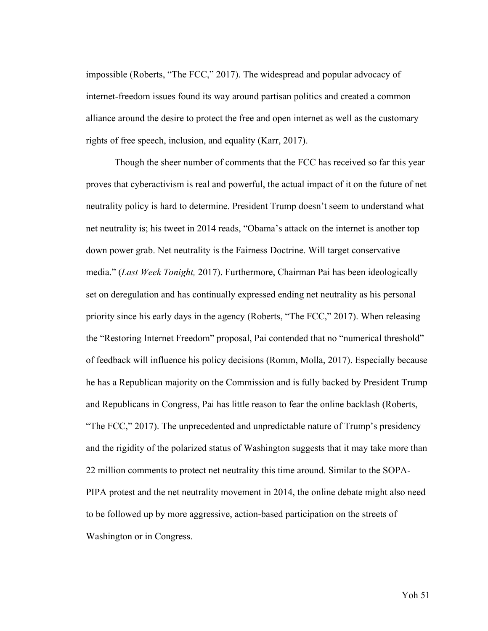impossible (Roberts, "The FCC," 2017). The widespread and popular advocacy of internet-freedom issues found its way around partisan politics and created a common alliance around the desire to protect the free and open internet as well as the customary rights of free speech, inclusion, and equality (Karr, 2017).

Though the sheer number of comments that the FCC has received so far this year proves that cyberactivism is real and powerful, the actual impact of it on the future of net neutrality policy is hard to determine. President Trump doesn't seem to understand what net neutrality is; his tweet in 2014 reads, "Obama's attack on the internet is another top down power grab. Net neutrality is the Fairness Doctrine. Will target conservative media." (*Last Week Tonight,* 2017). Furthermore, Chairman Pai has been ideologically set on deregulation and has continually expressed ending net neutrality as his personal priority since his early days in the agency (Roberts, "The FCC," 2017). When releasing the "Restoring Internet Freedom" proposal, Pai contended that no "numerical threshold" of feedback will influence his policy decisions (Romm, Molla, 2017). Especially because he has a Republican majority on the Commission and is fully backed by President Trump and Republicans in Congress, Pai has little reason to fear the online backlash (Roberts, "The FCC," 2017). The unprecedented and unpredictable nature of Trump's presidency and the rigidity of the polarized status of Washington suggests that it may take more than 22 million comments to protect net neutrality this time around. Similar to the SOPA-PIPA protest and the net neutrality movement in 2014, the online debate might also need to be followed up by more aggressive, action-based participation on the streets of Washington or in Congress.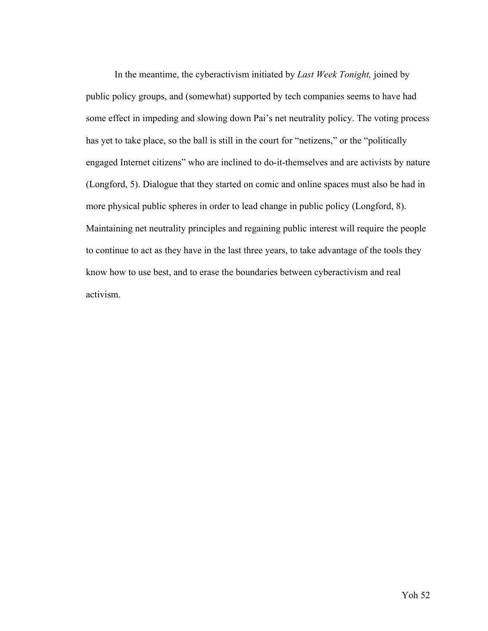In the meantime, the cyberactivism initiated by *Last Week Tonight,* joined by public policy groups, and (somewhat) supported by tech companies seems to have had some effect in impeding and slowing down Pai's net neutrality policy. The voting process has yet to take place, so the ball is still in the court for "netizens," or the "politically engaged Internet citizens" who are inclined to do-it-themselves and are activists by nature (Longford, 5). Dialogue that they started on comic and online spaces must also be had in more physical public spheres in order to lead change in public policy (Longford, 8). Maintaining net neutrality principles and regaining public interest will require the people to continue to act as they have in the last three years, to take advantage of the tools they know how to use best, and to erase the boundaries between cyberactivism and real activism.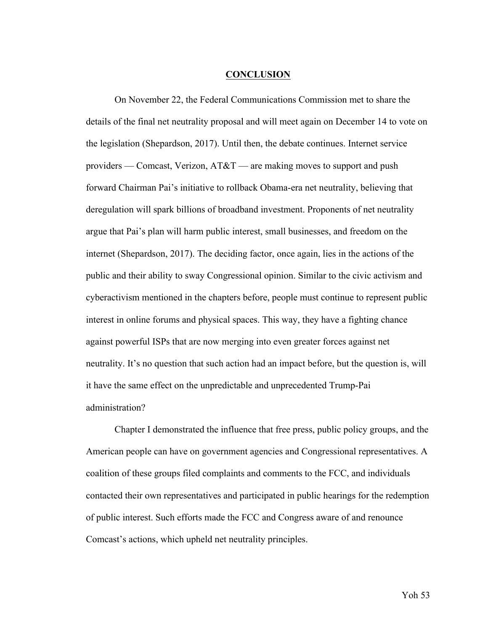#### **CONCLUSION**

On November 22, the Federal Communications Commission met to share the details of the final net neutrality proposal and will meet again on December 14 to vote on the legislation (Shepardson, 2017). Until then, the debate continues. Internet service providers — Comcast, Verizon, AT&T — are making moves to support and push forward Chairman Pai's initiative to rollback Obama-era net neutrality, believing that deregulation will spark billions of broadband investment. Proponents of net neutrality argue that Pai's plan will harm public interest, small businesses, and freedom on the internet (Shepardson, 2017). The deciding factor, once again, lies in the actions of the public and their ability to sway Congressional opinion. Similar to the civic activism and cyberactivism mentioned in the chapters before, people must continue to represent public interest in online forums and physical spaces. This way, they have a fighting chance against powerful ISPs that are now merging into even greater forces against net neutrality. It's no question that such action had an impact before, but the question is, will it have the same effect on the unpredictable and unprecedented Trump-Pai administration?

Chapter I demonstrated the influence that free press, public policy groups, and the American people can have on government agencies and Congressional representatives. A coalition of these groups filed complaints and comments to the FCC, and individuals contacted their own representatives and participated in public hearings for the redemption of public interest. Such efforts made the FCC and Congress aware of and renounce Comcast's actions, which upheld net neutrality principles.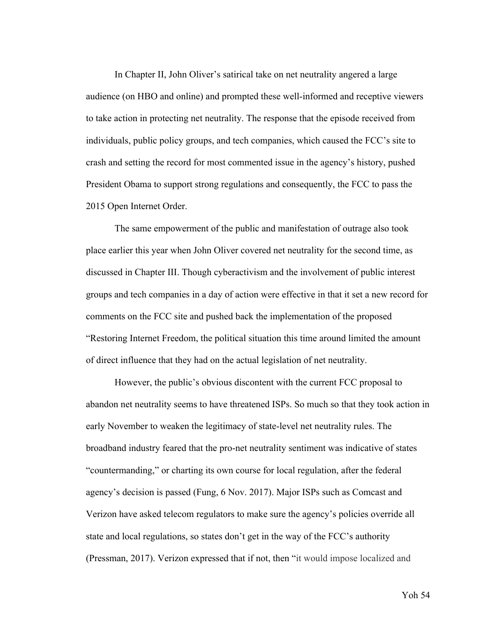In Chapter II, John Oliver's satirical take on net neutrality angered a large audience (on HBO and online) and prompted these well-informed and receptive viewers to take action in protecting net neutrality. The response that the episode received from individuals, public policy groups, and tech companies, which caused the FCC's site to crash and setting the record for most commented issue in the agency's history, pushed President Obama to support strong regulations and consequently, the FCC to pass the 2015 Open Internet Order.

The same empowerment of the public and manifestation of outrage also took place earlier this year when John Oliver covered net neutrality for the second time, as discussed in Chapter III. Though cyberactivism and the involvement of public interest groups and tech companies in a day of action were effective in that it set a new record for comments on the FCC site and pushed back the implementation of the proposed "Restoring Internet Freedom, the political situation this time around limited the amount of direct influence that they had on the actual legislation of net neutrality.

However, the public's obvious discontent with the current FCC proposal to abandon net neutrality seems to have threatened ISPs. So much so that they took action in early November to weaken the legitimacy of state-level net neutrality rules. The broadband industry feared that the pro-net neutrality sentiment was indicative of states "countermanding," or charting its own course for local regulation, after the federal agency's decision is passed (Fung, 6 Nov. 2017). Major ISPs such as Comcast and Verizon have asked telecom regulators to make sure the agency's policies override all state and local regulations, so states don't get in the way of the FCC's authority (Pressman, 2017). Verizon expressed that if not, then "it would impose localized and

Yoh 54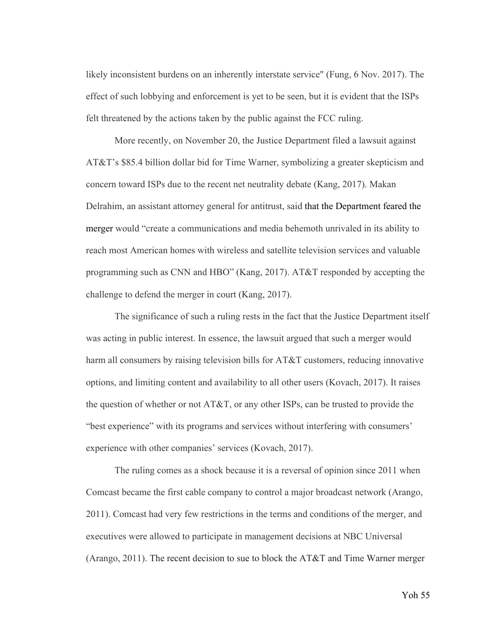likely inconsistent burdens on an inherently interstate service" (Fung, 6 Nov. 2017). The effect of such lobbying and enforcement is yet to be seen, but it is evident that the ISPs felt threatened by the actions taken by the public against the FCC ruling.

More recently, on November 20, the Justice Department filed a lawsuit against AT&T's \$85.4 billion dollar bid for Time Warner, symbolizing a greater skepticism and concern toward ISPs due to the recent net neutrality debate (Kang, 2017). Makan Delrahim, an assistant attorney general for antitrust, said that the Department feared the merger would "create a communications and media behemoth unrivaled in its ability to reach most American homes with wireless and satellite television services and valuable programming such as CNN and HBO" (Kang, 2017). AT&T responded by accepting the challenge to defend the merger in court (Kang, 2017).

The significance of such a ruling rests in the fact that the Justice Department itself was acting in public interest. In essence, the lawsuit argued that such a merger would harm all consumers by raising television bills for AT&T customers, reducing innovative options, and limiting content and availability to all other users (Kovach, 2017). It raises the question of whether or not  $AT&T$ , or any other ISPs, can be trusted to provide the "best experience" with its programs and services without interfering with consumers' experience with other companies' services (Kovach, 2017).

The ruling comes as a shock because it is a reversal of opinion since 2011 when Comcast became the first cable company to control a major broadcast network (Arango, 2011). Comcast had very few restrictions in the terms and conditions of the merger, and executives were allowed to participate in management decisions at NBC Universal (Arango, 2011). The recent decision to sue to block the AT&T and Time Warner merger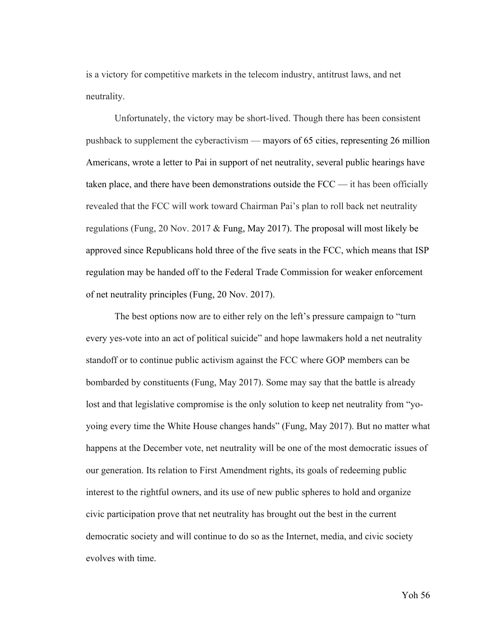is a victory for competitive markets in the telecom industry, antitrust laws, and net neutrality.

Unfortunately, the victory may be short-lived. Though there has been consistent pushback to supplement the cyberactivism — mayors of 65 cities, representing 26 million Americans, wrote a letter to Pai in support of net neutrality, several public hearings have taken place, and there have been demonstrations outside the FCC — it has been officially revealed that the FCC will work toward Chairman Pai's plan to roll back net neutrality regulations (Fung, 20 Nov. 2017 & Fung, May 2017). The proposal will most likely be approved since Republicans hold three of the five seats in the FCC, which means that ISP regulation may be handed off to the Federal Trade Commission for weaker enforcement of net neutrality principles (Fung, 20 Nov. 2017).

The best options now are to either rely on the left's pressure campaign to "turn every yes-vote into an act of political suicide" and hope lawmakers hold a net neutrality standoff or to continue public activism against the FCC where GOP members can be bombarded by constituents (Fung, May 2017). Some may say that the battle is already lost and that legislative compromise is the only solution to keep net neutrality from "yoyoing every time the White House changes hands" (Fung, May 2017). But no matter what happens at the December vote, net neutrality will be one of the most democratic issues of our generation. Its relation to First Amendment rights, its goals of redeeming public interest to the rightful owners, and its use of new public spheres to hold and organize civic participation prove that net neutrality has brought out the best in the current democratic society and will continue to do so as the Internet, media, and civic society evolves with time.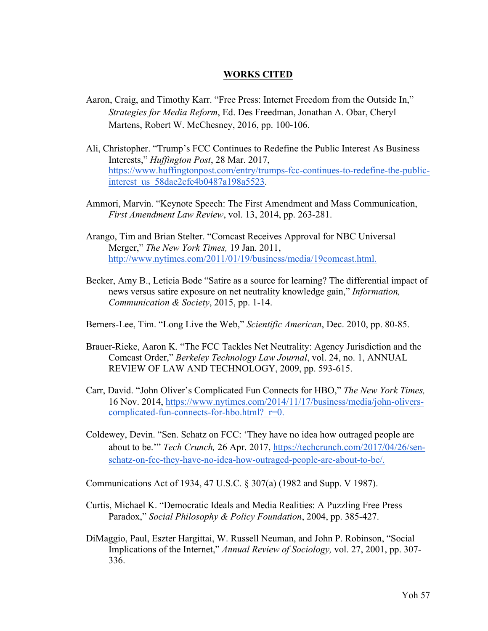# **WORKS CITED**

- Aaron, Craig, and Timothy Karr. "Free Press: Internet Freedom from the Outside In," *Strategies for Media Reform*, Ed. Des Freedman, Jonathan A. Obar, Cheryl Martens, Robert W. McChesney, 2016, pp. 100-106.
- Ali, Christopher. "Trump's FCC Continues to Redefine the Public Interest As Business Interests," *Huffington Post*, 28 Mar. 2017, https://www.huffingtonpost.com/entry/trumps-fcc-continues-to-redefine-the-publicinterest\_us\_58dae2cfe4b0487a198a5523.
- Ammori, Marvin. "Keynote Speech: The First Amendment and Mass Communication, *First Amendment Law Review*, vol. 13, 2014, pp. 263-281.
- Arango, Tim and Brian Stelter. "Comcast Receives Approval for NBC Universal Merger," *The New York Times,* 19 Jan. 2011, http://www.nytimes.com/2011/01/19/business/media/19comcast.html.
- Becker, Amy B., Leticia Bode "Satire as a source for learning? The differential impact of news versus satire exposure on net neutrality knowledge gain," *Information, Communication & Society*, 2015, pp. 1-14.
- Berners-Lee, Tim. "Long Live the Web," *Scientific American*, Dec. 2010, pp. 80-85.
- Brauer-Rieke, Aaron K. "The FCC Tackles Net Neutrality: Agency Jurisdiction and the Comcast Order," *Berkeley Technology Law Journal*, vol. 24, no. 1, ANNUAL REVIEW OF LAW AND TECHNOLOGY, 2009, pp. 593-615.
- Carr, David. "John Oliver's Complicated Fun Connects for HBO," *The New York Times,*  16 Nov. 2014, https://www.nytimes.com/2014/11/17/business/media/john-oliverscomplicated-fun-connects-for-hbo.html? r=0.
- Coldewey, Devin. "Sen. Schatz on FCC: 'They have no idea how outraged people are about to be.'" *Tech Crunch,* 26 Apr. 2017, https://techcrunch.com/2017/04/26/senschatz-on-fcc-they-have-no-idea-how-outraged-people-are-about-to-be/.

Communications Act of 1934, 47 U.S.C. § 307(a) (1982 and Supp. V 1987).

- Curtis, Michael K. "Democratic Ideals and Media Realities: A Puzzling Free Press Paradox," *Social Philosophy & Policy Foundation*, 2004, pp. 385-427.
- DiMaggio, Paul, Eszter Hargittai, W. Russell Neuman, and John P. Robinson, "Social Implications of the Internet," *Annual Review of Sociology,* vol. 27, 2001, pp. 307- 336.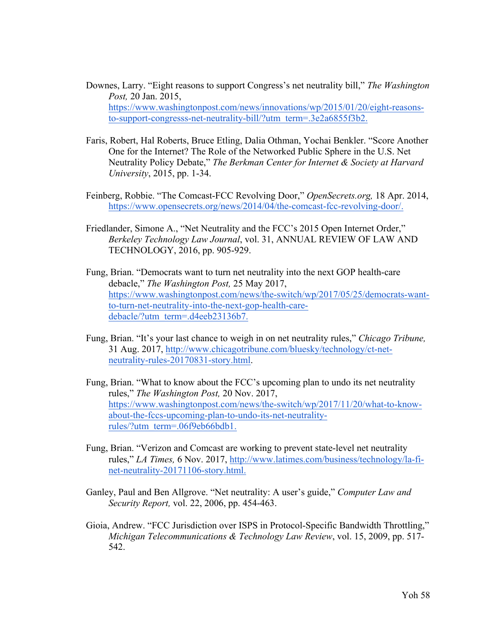- Downes, Larry. "Eight reasons to support Congress's net neutrality bill," *The Washington Post,* 20 Jan. 2015, https://www.washingtonpost.com/news/innovations/wp/2015/01/20/eight-reasonsto-support-congresss-net-neutrality-bill/?utm\_term=.3e2a6855f3b2.
- Faris, Robert, Hal Roberts, Bruce Etling, Dalia Othman, Yochai Benkler. "Score Another One for the Internet? The Role of the Networked Public Sphere in the U.S. Net Neutrality Policy Debate," *The Berkman Center for Internet & Society at Harvard University*, 2015, pp. 1-34.
- Feinberg, Robbie. "The Comcast-FCC Revolving Door," *OpenSecrets.org,* 18 Apr. 2014, https://www.opensecrets.org/news/2014/04/the-comcast-fcc-revolving-door/.
- Friedlander, Simone A., "Net Neutrality and the FCC's 2015 Open Internet Order," *Berkeley Technology Law Journal*, vol. 31, ANNUAL REVIEW OF LAW AND TECHNOLOGY, 2016, pp. 905-929.
- Fung, Brian. "Democrats want to turn net neutrality into the next GOP health-care debacle," *The Washington Post,* 25 May 2017, https://www.washingtonpost.com/news/the-switch/wp/2017/05/25/democrats-wantto-turn-net-neutrality-into-the-next-gop-health-caredebacle/?utm\_term=.d4eeb23136b7.
- Fung, Brian. "It's your last chance to weigh in on net neutrality rules," *Chicago Tribune,*  31 Aug. 2017, http://www.chicagotribune.com/bluesky/technology/ct-netneutrality-rules-20170831-story.html.
- Fung, Brian. "What to know about the FCC's upcoming plan to undo its net neutrality rules," *The Washington Post,* 20 Nov. 2017, https://www.washingtonpost.com/news/the-switch/wp/2017/11/20/what-to-knowabout-the-fccs-upcoming-plan-to-undo-its-net-neutralityrules/?utm\_term=.06f9eb66bdb1.
- Fung, Brian. "Verizon and Comcast are working to prevent state-level net neutrality rules," *LA Times,* 6 Nov. 2017, http://www.latimes.com/business/technology/la-finet-neutrality-20171106-story.html.
- Ganley, Paul and Ben Allgrove. "Net neutrality: A user's guide," *Computer Law and Security Report,* vol. 22, 2006, pp. 454-463.
- Gioia, Andrew. "FCC Jurisdiction over ISPS in Protocol-Specific Bandwidth Throttling," *Michigan Telecommunications & Technology Law Review*, vol. 15, 2009, pp. 517- 542.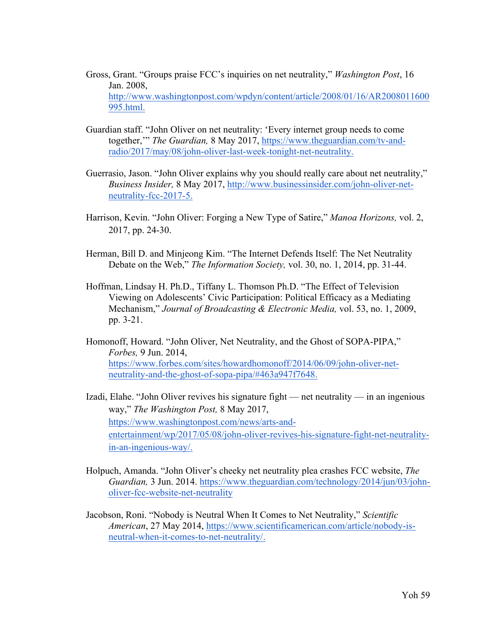- Gross, Grant. "Groups praise FCC's inquiries on net neutrality," *Washington Post*, 16 Jan. 2008, http://www.washingtonpost.com/wpdyn/content/article/2008/01/16/AR2008011600 995.html.
- Guardian staff. "John Oliver on net neutrality: 'Every internet group needs to come together,'" *The Guardian,* 8 May 2017, https://www.theguardian.com/tv-andradio/2017/may/08/john-oliver-last-week-tonight-net-neutrality.
- Guerrasio, Jason. "John Oliver explains why you should really care about net neutrality," *Business Insider,* 8 May 2017, http://www.businessinsider.com/john-oliver-netneutrality-fcc-2017-5.
- Harrison, Kevin. "John Oliver: Forging a New Type of Satire," *Manoa Horizons,* vol. 2, 2017, pp. 24-30.
- Herman, Bill D. and Minjeong Kim. "The Internet Defends Itself: The Net Neutrality Debate on the Web," *The Information Society,* vol. 30, no. 1, 2014, pp. 31-44.
- Hoffman, Lindsay H. Ph.D., Tiffany L. Thomson Ph.D. "The Effect of Television Viewing on Adolescents' Civic Participation: Political Efficacy as a Mediating Mechanism," *Journal of Broadcasting & Electronic Media,* vol. 53, no. 1, 2009, pp. 3-21.
- Homonoff, Howard. "John Oliver, Net Neutrality, and the Ghost of SOPA-PIPA," *Forbes,* 9 Jun. 2014, https://www.forbes.com/sites/howardhomonoff/2014/06/09/john-oliver-netneutrality-and-the-ghost-of-sopa-pipa/#463a947f7648.
- Izadi, Elahe. "John Oliver revives his signature fight net neutrality in an ingenious way," *The Washington Post,* 8 May 2017, https://www.washingtonpost.com/news/arts-andentertainment/wp/2017/05/08/john-oliver-revives-his-signature-fight-net-neutralityin-an-ingenious-way/.
- Holpuch, Amanda. "John Oliver's cheeky net neutrality plea crashes FCC website, *The Guardian,* 3 Jun. 2014. https://www.theguardian.com/technology/2014/jun/03/johnoliver-fcc-website-net-neutrality
- Jacobson, Roni. "Nobody is Neutral When It Comes to Net Neutrality," *Scientific American*, 27 May 2014, https://www.scientificamerican.com/article/nobody-isneutral-when-it-comes-to-net-neutrality/.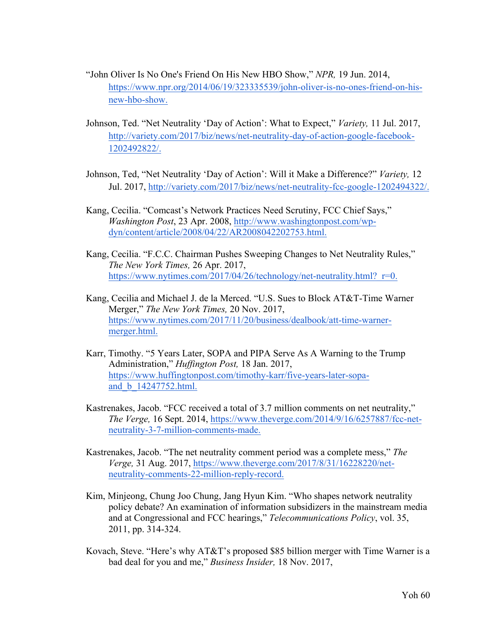- "John Oliver Is No One's Friend On His New HBO Show," *NPR,* 19 Jun. 2014, https://www.npr.org/2014/06/19/323335539/john-oliver-is-no-ones-friend-on-hisnew-hbo-show.
- Johnson, Ted. "Net Neutrality 'Day of Action': What to Expect," *Variety,* 11 Jul. 2017, http://variety.com/2017/biz/news/net-neutrality-day-of-action-google-facebook-1202492822/.
- Johnson, Ted, "Net Neutrality 'Day of Action': Will it Make a Difference?" *Variety,* 12 Jul. 2017, http://variety.com/2017/biz/news/net-neutrality-fcc-google-1202494322/.
- Kang, Cecilia. "Comcast's Network Practices Need Scrutiny, FCC Chief Says," *Washington Post*, 23 Apr. 2008, http://www.washingtonpost.com/wpdyn/content/article/2008/04/22/AR2008042202753.html.
- Kang, Cecilia. "F.C.C. Chairman Pushes Sweeping Changes to Net Neutrality Rules," *The New York Times,* 26 Apr. 2017, https://www.nytimes.com/2017/04/26/technology/net-neutrality.html? r=0.
- Kang, Cecilia and Michael J. de la Merced. "U.S. Sues to Block AT&T-Time Warner Merger," *The New York Times,* 20 Nov. 2017, https://www.nytimes.com/2017/11/20/business/dealbook/att-time-warnermerger.html.
- Karr, Timothy. "5 Years Later, SOPA and PIPA Serve As A Warning to the Trump Administration," *Huffington Post,* 18 Jan. 2017, https://www.huffingtonpost.com/timothy-karr/five-years-later-sopaand\_b\_14247752.html.
- Kastrenakes, Jacob. "FCC received a total of 3.7 million comments on net neutrality," *The Verge,* 16 Sept. 2014, https://www.theverge.com/2014/9/16/6257887/fcc-netneutrality-3-7-million-comments-made.
- Kastrenakes, Jacob. "The net neutrality comment period was a complete mess," *The Verge,* 31 Aug. 2017, https://www.theverge.com/2017/8/31/16228220/netneutrality-comments-22-million-reply-record.
- Kim, Minjeong, Chung Joo Chung, Jang Hyun Kim. "Who shapes network neutrality policy debate? An examination of information subsidizers in the mainstream media and at Congressional and FCC hearings," *Telecommunications Policy*, vol. 35, 2011, pp. 314-324.
- Kovach, Steve. "Here's why AT&T's proposed \$85 billion merger with Time Warner is a bad deal for you and me," *Business Insider,* 18 Nov. 2017,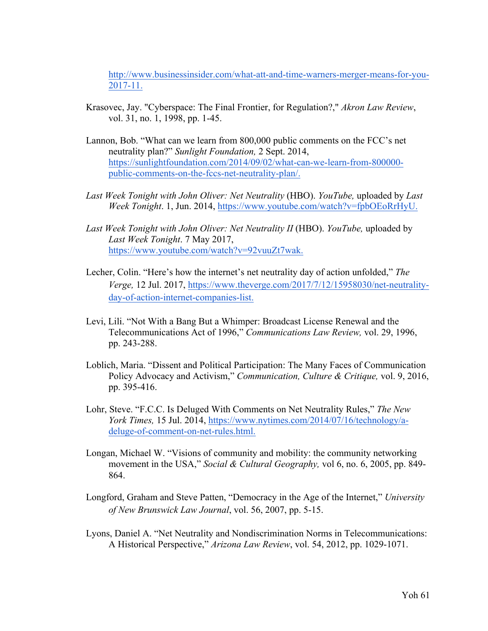http://www.businessinsider.com/what-att-and-time-warners-merger-means-for-you-2017-11.

- Krasovec, Jay. "Cyberspace: The Final Frontier, for Regulation?," *Akron Law Review*, vol. 31, no. 1, 1998, pp. 1-45.
- Lannon, Bob. "What can we learn from 800,000 public comments on the FCC's net neutrality plan?" *Sunlight Foundation,* 2 Sept. 2014, https://sunlightfoundation.com/2014/09/02/what-can-we-learn-from-800000 public-comments-on-the-fccs-net-neutrality-plan/.
- *Last Week Tonight with John Oliver: Net Neutrality* (HBO). *YouTube,* uploaded by *Last Week Tonight*. 1, Jun. 2014, https://www.youtube.com/watch?v=fpbOEoRrHyU.
- Last Week Tonight with John Oliver: Net Neutrality II (HBO). YouTube, uploaded by *Last Week Tonight*. 7 May 2017, https://www.youtube.com/watch?v=92vuuZt7wak.
- Lecher, Colin. "Here's how the internet's net neutrality day of action unfolded," *The Verge,* 12 Jul. 2017, https://www.theverge.com/2017/7/12/15958030/net-neutralityday-of-action-internet-companies-list.
- Levi, Lili. "Not With a Bang But a Whimper: Broadcast License Renewal and the Telecommunications Act of 1996," *Communications Law Review,* vol. 29, 1996, pp. 243-288.
- Loblich, Maria. "Dissent and Political Participation: The Many Faces of Communication Policy Advocacy and Activism," *Communication, Culture & Critique,* vol. 9, 2016, pp. 395-416.
- Lohr, Steve. "F.C.C. Is Deluged With Comments on Net Neutrality Rules," *The New York Times,* 15 Jul. 2014, https://www.nytimes.com/2014/07/16/technology/adeluge-of-comment-on-net-rules.html.
- Longan, Michael W. "Visions of community and mobility: the community networking movement in the USA," *Social & Cultural Geography,* vol 6, no. 6, 2005, pp. 849- 864.
- Longford, Graham and Steve Patten, "Democracy in the Age of the Internet," *University of New Brunswick Law Journal*, vol. 56, 2007, pp. 5-15.
- Lyons, Daniel A. "Net Neutrality and Nondiscrimination Norms in Telecommunications: A Historical Perspective," *Arizona Law Review*, vol. 54, 2012, pp. 1029-1071.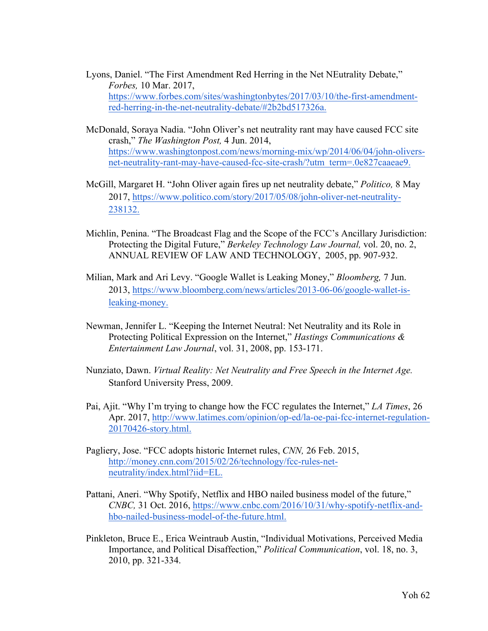- Lyons, Daniel. "The First Amendment Red Herring in the Net NEutrality Debate," *Forbes,* 10 Mar. 2017, https://www.forbes.com/sites/washingtonbytes/2017/03/10/the-first-amendmentred-herring-in-the-net-neutrality-debate/#2b2bd517326a.
- McDonald, Soraya Nadia. "John Oliver's net neutrality rant may have caused FCC site crash," *The Washington Post,* 4 Jun. 2014, https://www.washingtonpost.com/news/morning-mix/wp/2014/06/04/john-oliversnet-neutrality-rant-may-have-caused-fcc-site-crash/?utm\_term=.0e827caaeae9.
- McGill, Margaret H. "John Oliver again fires up net neutrality debate," *Politico,* 8 May 2017, https://www.politico.com/story/2017/05/08/john-oliver-net-neutrality-238132.
- Michlin, Penina. "The Broadcast Flag and the Scope of the FCC's Ancillary Jurisdiction: Protecting the Digital Future," *Berkeley Technology Law Journal,* vol. 20, no. 2, ANNUAL REVIEW OF LAW AND TECHNOLOGY, 2005, pp. 907-932.
- Milian, Mark and Ari Levy. "Google Wallet is Leaking Money," *Bloomberg,* 7 Jun. 2013, https://www.bloomberg.com/news/articles/2013-06-06/google-wallet-isleaking-money.
- Newman, Jennifer L. "Keeping the Internet Neutral: Net Neutrality and its Role in Protecting Political Expression on the Internet," *Hastings Communications & Entertainment Law Journal*, vol. 31, 2008, pp. 153-171.
- Nunziato, Dawn. *Virtual Reality: Net Neutrality and Free Speech in the Internet Age.*  Stanford University Press, 2009.
- Pai, Ajit. "Why I'm trying to change how the FCC regulates the Internet," *LA Times*, 26 Apr. 2017, http://www.latimes.com/opinion/op-ed/la-oe-pai-fcc-internet-regulation-20170426-story.html.
- Pagliery, Jose. "FCC adopts historic Internet rules, *CNN,* 26 Feb. 2015, http://money.cnn.com/2015/02/26/technology/fcc-rules-netneutrality/index.html?iid=EL.
- Pattani, Aneri. "Why Spotify, Netflix and HBO nailed business model of the future," *CNBC,* 31 Oct. 2016, https://www.cnbc.com/2016/10/31/why-spotify-netflix-andhbo-nailed-business-model-of-the-future.html.
- Pinkleton, Bruce E., Erica Weintraub Austin, "Individual Motivations, Perceived Media Importance, and Political Disaffection," *Political Communication*, vol. 18, no. 3, 2010, pp. 321-334.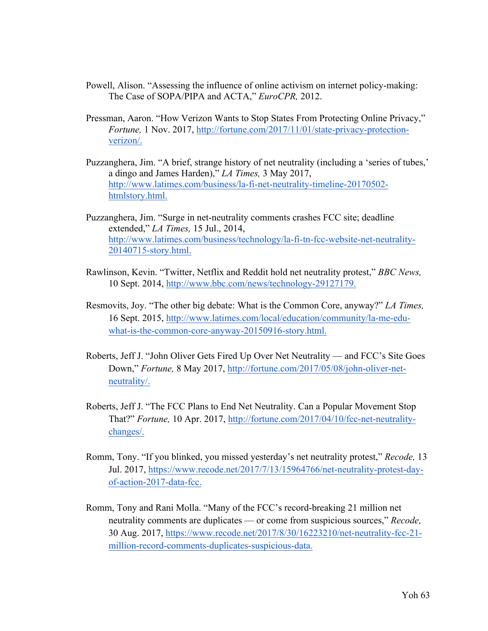- Powell, Alison. "Assessing the influence of online activism on internet policy-making: The Case of SOPA/PIPA and ACTA," *EuroCPR,* 2012.
- Pressman, Aaron. "How Verizon Wants to Stop States From Protecting Online Privacy," *Fortune,* 1 Nov. 2017, http://fortune.com/2017/11/01/state-privacy-protectionverizon/.
- Puzzanghera, Jim. "A brief, strange history of net neutrality (including a 'series of tubes,' a dingo and James Harden)," *LA Times,* 3 May 2017, http://www.latimes.com/business/la-fi-net-neutrality-timeline-20170502 htmlstory.html.
- Puzzanghera, Jim. "Surge in net-neutrality comments crashes FCC site; deadline extended," *LA Times,* 15 Jul., 2014, http://www.latimes.com/business/technology/la-fi-tn-fcc-website-net-neutrality-20140715-story.html.
- Rawlinson, Kevin. "Twitter, Netflix and Reddit hold net neutrality protest," *BBC News,*  10 Sept. 2014, http://www.bbc.com/news/technology-29127179.
- Resmovits, Joy. "The other big debate: What is the Common Core, anyway?" *LA Times,*  16 Sept. 2015, http://www.latimes.com/local/education/community/la-me-eduwhat-is-the-common-core-anyway-20150916-story.html.
- Roberts, Jeff J. "John Oliver Gets Fired Up Over Net Neutrality and FCC's Site Goes Down," *Fortune,* 8 May 2017, http://fortune.com/2017/05/08/john-oliver-netneutrality/.
- Roberts, Jeff J. "The FCC Plans to End Net Neutrality. Can a Popular Movement Stop That?" *Fortune,* 10 Apr. 2017, http://fortune.com/2017/04/10/fcc-net-neutralitychanges/.
- Romm, Tony. "If you blinked, you missed yesterday's net neutrality protest," *Recode,* 13 Jul. 2017, https://www.recode.net/2017/7/13/15964766/net-neutrality-protest-dayof-action-2017-data-fcc.
- Romm, Tony and Rani Molla. "Many of the FCC's record-breaking 21 million net neutrality comments are duplicates — or come from suspicious sources," *Recode,* 30 Aug. 2017, https://www.recode.net/2017/8/30/16223210/net-neutrality-fcc-21 million-record-comments-duplicates-suspicious-data.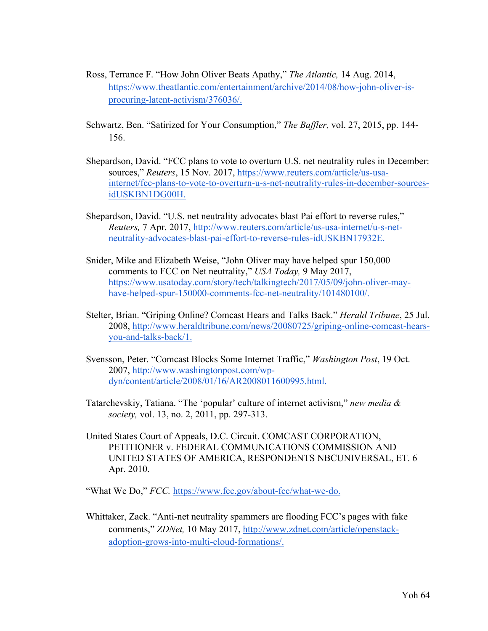- Ross, Terrance F. "How John Oliver Beats Apathy," *The Atlantic,* 14 Aug. 2014, https://www.theatlantic.com/entertainment/archive/2014/08/how-john-oliver-isprocuring-latent-activism/376036/.
- Schwartz, Ben. "Satirized for Your Consumption," *The Baffler,* vol. 27, 2015, pp. 144- 156.
- Shepardson, David. "FCC plans to vote to overturn U.S. net neutrality rules in December: sources," *Reuters*, 15 Nov. 2017, https://www.reuters.com/article/us-usainternet/fcc-plans-to-vote-to-overturn-u-s-net-neutrality-rules-in-december-sourcesidUSKBN1DG00H.
- Shepardson, David. "U.S. net neutrality advocates blast Pai effort to reverse rules," *Reuters,* 7 Apr. 2017, http://www.reuters.com/article/us-usa-internet/u-s-netneutrality-advocates-blast-pai-effort-to-reverse-rules-idUSKBN17932E.
- Snider, Mike and Elizabeth Weise, "John Oliver may have helped spur 150,000 comments to FCC on Net neutrality," *USA Today,* 9 May 2017, https://www.usatoday.com/story/tech/talkingtech/2017/05/09/john-oliver-mayhave-helped-spur-150000-comments-fcc-net-neutrality/101480100/.
- Stelter, Brian. "Griping Online? Comcast Hears and Talks Back." *Herald Tribune*, 25 Jul. 2008, http://www.heraldtribune.com/news/20080725/griping-online-comcast-hearsyou-and-talks-back/1.
- Svensson, Peter. "Comcast Blocks Some Internet Traffic," *Washington Post*, 19 Oct. 2007, http://www.washingtonpost.com/wpdyn/content/article/2008/01/16/AR2008011600995.html.
- Tatarchevskiy, Tatiana. "The 'popular' culture of internet activism," *new media & society,* vol. 13, no. 2, 2011, pp. 297-313.
- United States Court of Appeals, D.C. Circuit. COMCAST CORPORATION, PETITIONER v. FEDERAL COMMUNICATIONS COMMISSION AND UNITED STATES OF AMERICA, RESPONDENTS NBCUNIVERSAL, ET. 6 Apr. 2010.

"What We Do," *FCC.* https://www.fcc.gov/about-fcc/what-we-do.

Whittaker, Zack. "Anti-net neutrality spammers are flooding FCC's pages with fake comments," *ZDNet,* 10 May 2017, http://www.zdnet.com/article/openstackadoption-grows-into-multi-cloud-formations/.